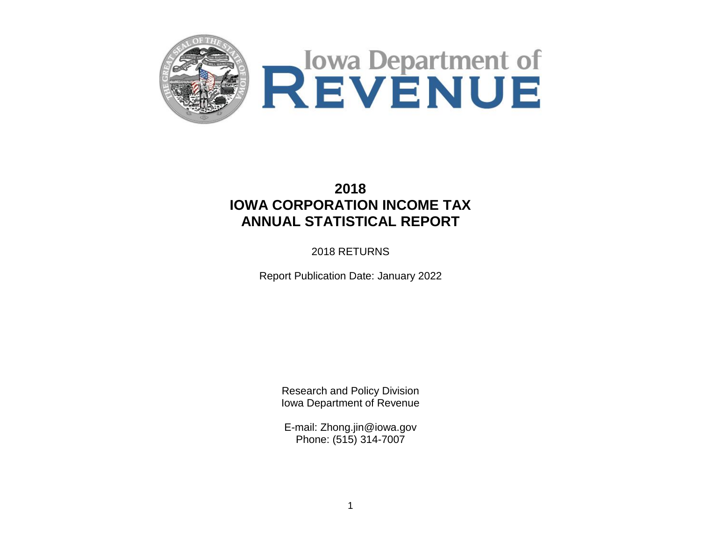



# **2018 IOWA CORPORATION INCOME TAX ANNUAL STATISTICAL REPORT**

2018 RETURNS

Report Publication Date: January 2022

Research and Policy Division Iowa Department of Revenue

E-mail: Zhong.jin@iowa.gov Phone: (515) 314-7007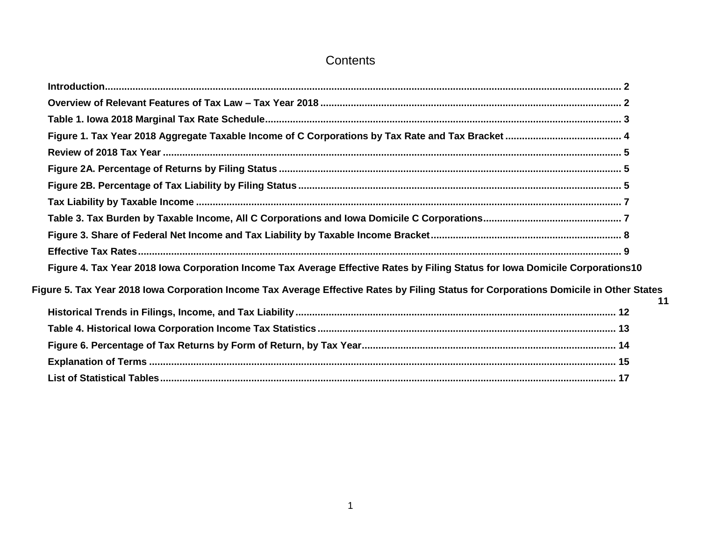# **Contents**

<span id="page-1-0"></span>

| Figure 4. Tax Year 2018 Iowa Corporation Income Tax Average Effective Rates by Filing Status for Iowa Domicile Corporations10          |    |
|----------------------------------------------------------------------------------------------------------------------------------------|----|
| Figure 5. Tax Year 2018 Iowa Corporation Income Tax Average Effective Rates by Filing Status for Corporations Domicile in Other States | 11 |
|                                                                                                                                        |    |
|                                                                                                                                        |    |
|                                                                                                                                        |    |
|                                                                                                                                        |    |
|                                                                                                                                        |    |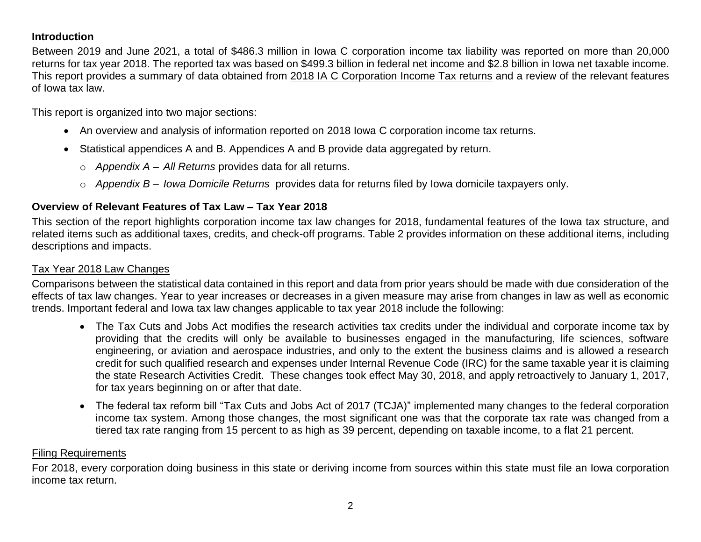# **Introduction**

Between 2019 and June 2021, a total of \$486.3 million in Iowa C corporation income tax liability was reported on more than 20,000 returns for tax year 2018. The reported tax was based on \$499.3 billion in federal net income and \$2.8 billion in Iowa net taxable income. This report provides a summary of data obtained from 2018 IA C Corporation [Income Tax returns](https://tax.iowa.gov/sites/default/files/idr/forms1/2018IA1040%2841001%29.pdf) and a review of the relevant features of Iowa tax law.

This report is organized into two major sections:

- An overview and analysis of information reported on 2018 Iowa C corporation income tax returns.
- Statistical appendices A and B. Appendices A and B provide data aggregated by return.
	- o *Appendix A – All Returns* provides data for all returns.
	- o *Appendix B – Iowa Domicile Returns* provides data for returns filed by Iowa domicile taxpayers only.

# <span id="page-2-0"></span>**Overview of Relevant Features of Tax Law – Tax Year 2018**

This section of the report highlights corporation income tax law changes for 2018, fundamental features of the Iowa tax structure, and related items such as additional taxes, credits, and check-off programs. Table 2 provides information on these additional items, including descriptions and impacts.

# Tax Year 2018 Law Changes

Comparisons between the statistical data contained in this report and data from prior years should be made with due consideration of the effects of tax law changes. Year to year increases or decreases in a given measure may arise from changes in law as well as economic trends. Important federal and Iowa tax law changes applicable to tax year 2018 include the following:

- The Tax Cuts and Jobs Act modifies the research activities tax credits under the individual and corporate income tax by providing that the credits will only be available to businesses engaged in the manufacturing, life sciences, software engineering, or aviation and aerospace industries, and only to the extent the business claims and is allowed a research credit for such qualified research and expenses under Internal Revenue Code (IRC) for the same taxable year it is claiming the state Research Activities Credit. These changes took effect May 30, 2018, and apply retroactively to January 1, 2017, for tax years beginning on or after that date.
- The federal tax reform bill "Tax Cuts and Jobs Act of 2017 (TCJA)" implemented many changes to the federal corporation income tax system. Among those changes, the most significant one was that the corporate tax rate was changed from a tiered tax rate ranging from 15 percent to as high as 39 percent, depending on taxable income, to a flat 21 percent.

# Filing Requirements

For 2018, every corporation doing business in this state or deriving income from sources within this state must file an Iowa corporation income tax return.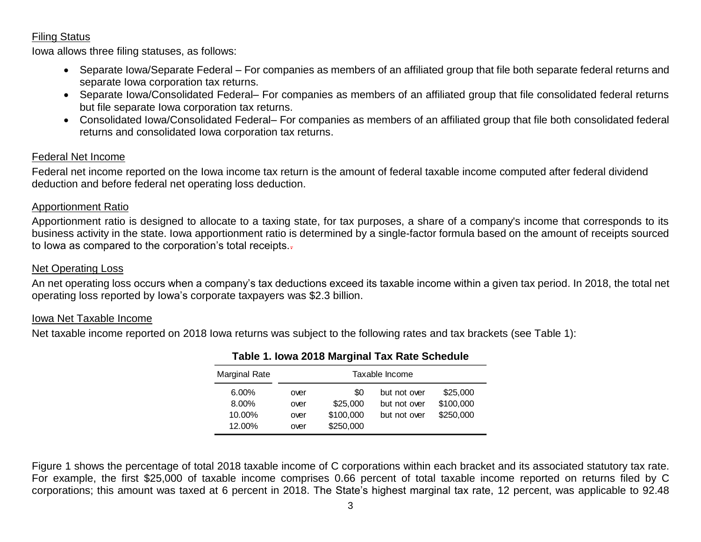## Filing Status

Iowa allows three filing statuses, as follows:

- Separate Iowa/Separate Federal For companies as members of an affiliated group that file both separate federal returns and separate Iowa corporation tax returns.
- Separate Iowa/Consolidated Federal– For companies as members of an affiliated group that file consolidated federal returns but file separate Iowa corporation tax returns.
- Consolidated Iowa/Consolidated Federal– For companies as members of an affiliated group that file both consolidated federal returns and consolidated Iowa corporation tax returns.

# Federal Net Income

Federal net income reported on the Iowa income tax return is the amount of federal taxable income computed after federal dividend deduction and before federal net operating loss deduction.

## Apportionment Ratio

Apportionment ratio is designed to allocate to a taxing state, for tax purposes, a share of a company's income that corresponds to its business activity in the state. Iowa apportionment ratio is determined by a single-factor formula based on the amount of receipts sourced to lowa as compared to the corporation's total receipts.

## Net Operating Loss

An net operating loss occurs when a company's tax deductions exceed its taxable income within a given tax period. In 2018, the total net operating loss reported by Iowa's corporate taxpayers was \$2.3 billion.

#### Iowa Net Taxable Income

<span id="page-3-0"></span>Net taxable income reported on 2018 Iowa returns was subject to the following rates and tax brackets (see Table 1):

| \$25,000<br>\$0<br>but not over<br>$6.00\%$<br>over<br>\$100,000<br>\$25,000<br>8.00%<br>but not over<br>over<br>\$250,000<br>\$100,000<br>10.00%<br>but not over<br>over<br>\$250,000<br>12.00%<br>over | Marginal Rate | Taxable Income |  |  |  |  |  |  |  |
|----------------------------------------------------------------------------------------------------------------------------------------------------------------------------------------------------------|---------------|----------------|--|--|--|--|--|--|--|
|                                                                                                                                                                                                          |               |                |  |  |  |  |  |  |  |
|                                                                                                                                                                                                          |               |                |  |  |  |  |  |  |  |
|                                                                                                                                                                                                          |               |                |  |  |  |  |  |  |  |
|                                                                                                                                                                                                          |               |                |  |  |  |  |  |  |  |

#### **Table 1. Iowa 2018 Marginal Tax Rate Schedule**

Figure 1 shows the percentage of total 2018 taxable income of C corporations within each bracket and its associated statutory tax rate. For example, the first \$25,000 of taxable income comprises 0.66 percent of total taxable income reported on returns filed by C Marginal Rate Taxable Income<br>
6.00% over \$25,000<br>
8.00% over \$25,000 but not over \$100,000<br>
10.00% over \$250,000 but not over \$250,000<br>
12.00% over \$250,000 but not over \$250,000<br>
Tigure 1 shows the percentage of total 201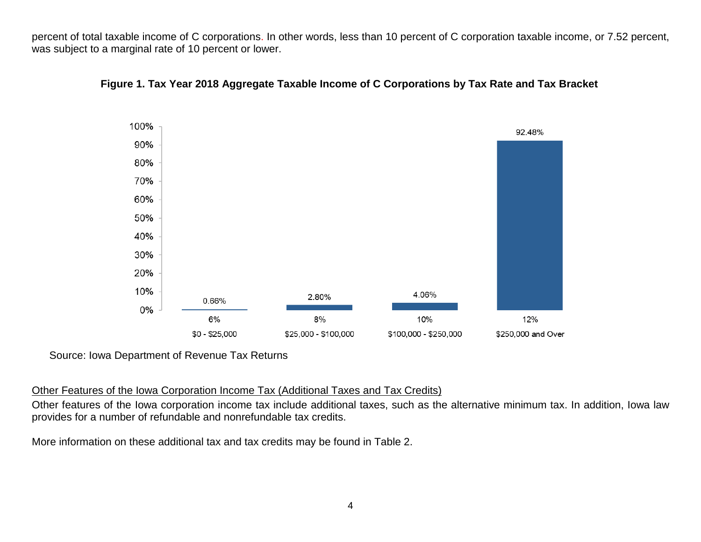<span id="page-4-0"></span>percent of total taxable income of C corporations. In other words, less than 10 percent of C corporation taxable income, or 7.52 percent, was subject to a marginal rate of 10 percent or lower.



#### **Figure 1. Tax Year 2018 Aggregate Taxable Income of C Corporations by Tax Rate and Tax Bracket**

Source: Iowa Department of Revenue Tax Returns

#### Other Features of the Iowa Corporation Income Tax (Additional Taxes and Tax Credits)

Other features of the Iowa corporation income tax include additional taxes, such as the alternative minimum tax. In addition, Iowa law provides for a number of refundable and nonrefundable tax credits.

More information on these additional tax and tax credits may be found in Table 2.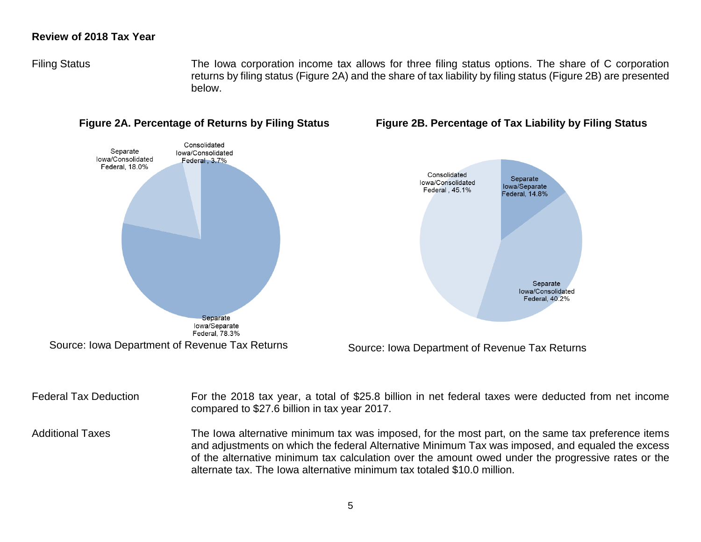#### <span id="page-5-0"></span>**Review of 2018 Tax Year**

Filing Status The Iowa corporation income tax allows for three filing status options. The share of C corporation returns by filing status (Figure 2A) and the share of tax liability by filing status (Figure 2B) are presented below.



#### <span id="page-5-2"></span><span id="page-5-1"></span> **Figure 2A. Percentage of Returns by Filing Status Figure 2B. Percentage of Tax Liability by Filing Status**

Federal Tax Deduction For the 2018 tax year, a total of \$25.8 billion in net federal taxes were deducted from net income compared to \$27.6 billion in tax year 2017. Additional Taxes The Iowa alternative minimum tax was imposed, for the most part, on the same tax preference items and adjustments on which the federal Alternative Minimum Tax was imposed, and equaled the excess of the alternative minimum tax calculation over the amount owed under the progressive rates or the alternate tax. The Iowa alternative minimum tax totaled \$10.0 million.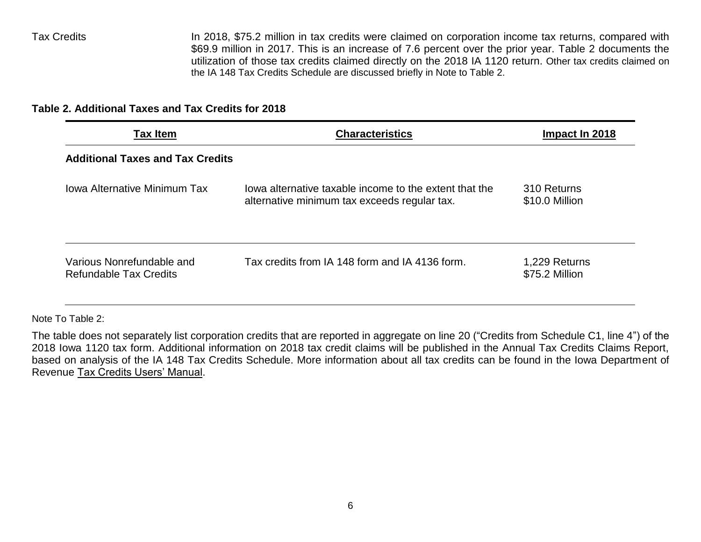Tax Credits In 2018, \$75.2 million in tax credits were claimed on corporation income tax returns, compared with \$69.9 million in 2017. This is an increase of 7.6 percent over the prior year. Table 2 documents the utilization of those tax credits claimed directly on the 2018 IA 1120 return. Other tax credits claimed on the IA 148 Tax Credits Schedule are discussed briefly in Note to Table 2.

# **Table 2. Additional Taxes and Tax Credits for 2018**

| <b>Tax Item</b>                                            | <b>Characteristics</b>                                                                                 | Impact In 2018                  |  |
|------------------------------------------------------------|--------------------------------------------------------------------------------------------------------|---------------------------------|--|
| <b>Additional Taxes and Tax Credits</b>                    |                                                                                                        |                                 |  |
| <b>Iowa Alternative Minimum Tax</b>                        | lowa alternative taxable income to the extent that the<br>alternative minimum tax exceeds regular tax. | 310 Returns<br>\$10.0 Million   |  |
| Various Nonrefundable and<br><b>Refundable Tax Credits</b> | Tax credits from IA 148 form and IA 4136 form.                                                         | 1,229 Returns<br>\$75.2 Million |  |

Note To Table 2:

The table does not separately list corporation credits that are reported in aggregate on line 20 ("Credits from Schedule C1, line 4") of the 2018 Iowa 1120 tax form. Additional information on 2018 tax credit claims will be published in the Annual Tax Credits Claims Report, based on analysis of the IA 148 Tax Credits Schedule. More information about all tax credits can be found in the Iowa Department of Revenue [Tax Credits Users' Manual.](https://tax.iowa.gov/sites/default/files/idr/Tax%20Credits%20Users%20Manual%202018.pdf)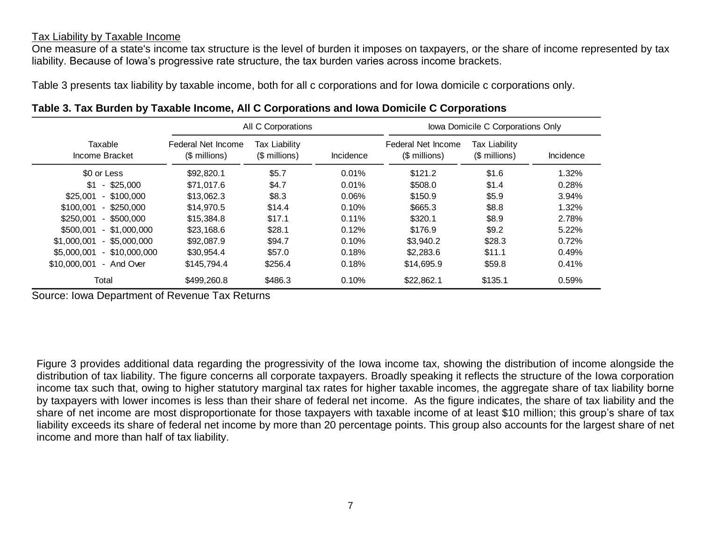#### <span id="page-7-0"></span>Tax Liability by Taxable Income

One measure of a state's income tax structure is the level of burden it imposes on taxpayers, or the share of income represented by tax liability. Because of Iowa's progressive rate structure, the tax burden varies across income brackets.

Table 3 presents tax liability by taxable income, both for all c corporations and for Iowa domicile c corporations only.

|                                 |                                     | All C Corporations             |           |                                     | Iowa Domicile C Corporations Only     |           |  |
|---------------------------------|-------------------------------------|--------------------------------|-----------|-------------------------------------|---------------------------------------|-----------|--|
| Taxable<br>Income Bracket       | Federal Net Income<br>$$$ millions) | Tax Liability<br>(\$ millions) | Incidence | Federal Net Income<br>(\$ millions) | <b>Tax Liability</b><br>(\$ millions) | Incidence |  |
| \$0 or Less                     | \$92,820.1                          | \$5.7                          | 0.01%     | \$121.2                             | \$1.6                                 | 1.32%     |  |
| $-$ \$25,000<br>\$1             | \$71,017.6                          | \$4.7                          | 0.01%     | \$508.0                             | \$1.4                                 | 0.28%     |  |
| $-$ \$100,000<br>\$25,001       | \$13,062.3                          | \$8.3                          | 0.06%     | \$150.9                             | \$5.9                                 | 3.94%     |  |
| \$100,001<br>$-$ \$250,000      | \$14,970.5                          | \$14.4                         | 0.10%     | \$665.3                             | \$8.8                                 | 1.32%     |  |
| \$250,001<br>$-$ \$500,000      | \$15,384.8                          | \$17.1                         | 0.11%     | \$320.1                             | \$8.9                                 | 2.78%     |  |
| $-$ \$1,000,000<br>\$500,001    | \$23,168.6                          | \$28.1                         | 0.12%     | \$176.9                             | \$9.2                                 | 5.22%     |  |
| \$1,000,001<br>$-$ \$5,000,000  | \$92,087.9                          | \$94.7                         | 0.10%     | \$3,940.2                           | \$28.3                                | 0.72%     |  |
| \$5,000,001<br>$-$ \$10,000,000 | \$30,954.4                          | \$57.0                         | 0.18%     | \$2,283.6                           | \$11.1                                | 0.49%     |  |
| \$10,000,001<br>- And Over      | \$145,794.4                         | \$256.4                        | 0.18%     | \$14,695.9                          | \$59.8                                | 0.41%     |  |
| Total                           | \$499,260.8                         | \$486.3                        | 0.10%     | \$22,862.1                          | \$135.1                               | 0.59%     |  |

<span id="page-7-1"></span>

|  |  |  | Table 3. Tax Burden by Taxable Income, All C Corporations and Iowa Domicile C Corporations |
|--|--|--|--------------------------------------------------------------------------------------------|
|--|--|--|--------------------------------------------------------------------------------------------|

Source: Iowa Department of Revenue Tax Returns

Figure 3 provides additional data regarding the progressivity of the Iowa income tax, showing the distribution of income alongside the distribution of tax liability. The figure concerns all corporate taxpayers. Broadly speaking it reflects the structure of the Iowa corporation income tax such that, owing to higher statutory marginal tax rates for higher taxable incomes, the aggregate share of tax liability borne by taxpayers with lower incomes is less than their share of federal net income. As the figure indicates, the share of tax liability and the share of net income are most disproportionate for those taxpayers with taxable income of at least \$10 million; this group's share of tax liability exceeds its share of federal net income by more than 20 percentage points. This group also accounts for the largest share of net income and more than half of tax liability.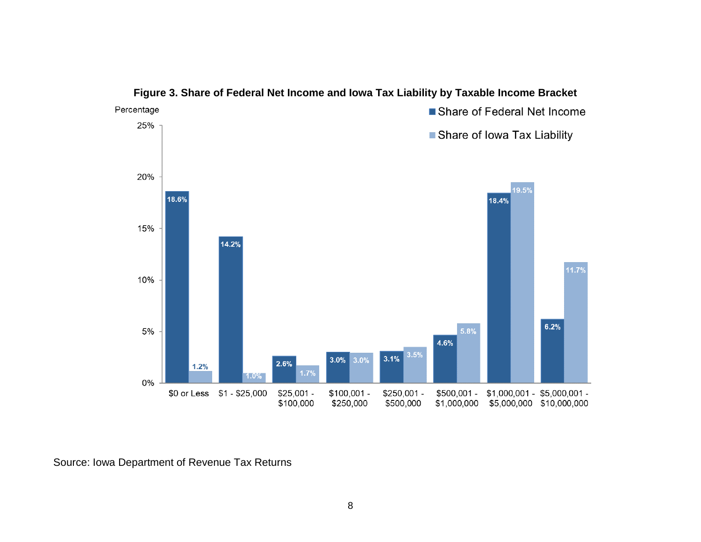<span id="page-8-1"></span><span id="page-8-0"></span>

#### **Figure 3. Share of Federal Net Income and Iowa Tax Liability by Taxable Income Bracket**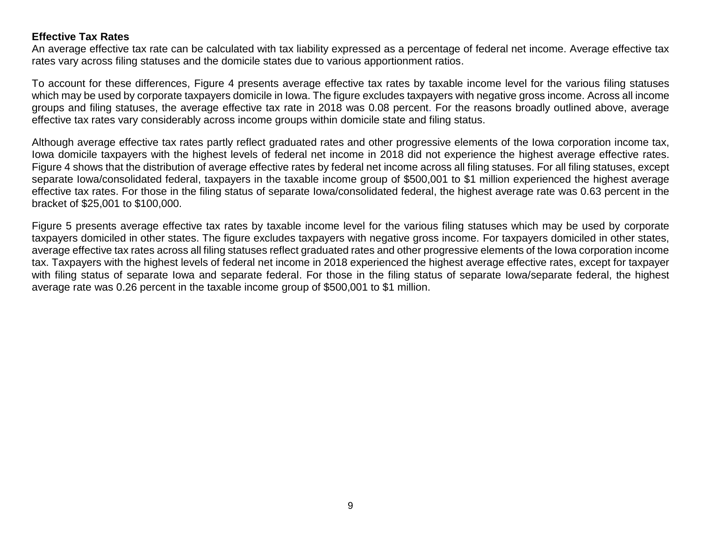# **Effective Tax Rates**

An average effective tax rate can be calculated with tax liability expressed as a percentage of federal net income. Average effective tax rates vary across filing statuses and the domicile states due to various apportionment ratios.

To account for these differences, Figure 4 presents average effective tax rates by taxable income level for the various filing statuses which may be used by corporate taxpayers domicile in Iowa. The figure excludes taxpayers with negative gross income. Across all income groups and filing statuses, the average effective tax rate in 2018 was 0.08 percent. For the reasons broadly outlined above, average effective tax rates vary considerably across income groups within domicile state and filing status.

Although average effective tax rates partly reflect graduated rates and other progressive elements of the Iowa corporation income tax, Iowa domicile taxpayers with the highest levels of federal net income in 2018 did not experience the highest average effective rates. Figure 4 shows that the distribution of average effective rates by federal net income across all filing statuses. For all filing statuses, except separate Iowa/consolidated federal, taxpayers in the taxable income group of \$500,001 to \$1 million experienced the highest average effective tax rates. For those in the filing status of separate Iowa/consolidated federal, the highest average rate was 0.63 percent in the bracket of \$25,001 to \$100,000.

Figure 5 presents average effective tax rates by taxable income level for the various filing statuses which may be used by corporate taxpayers domiciled in other states. The figure excludes taxpayers with negative gross income. For taxpayers domiciled in other states, average effective tax rates across all filing statuses reflect graduated rates and other progressive elements of the Iowa corporation income tax. Taxpayers with the highest levels of federal net income in 2018 experienced the highest average effective rates, except for taxpayer with filing status of separate Iowa and separate federal. For those in the filing status of separate Iowa/separate federal, the highest average rate was 0.26 percent in the taxable income group of \$500,001 to \$1 million.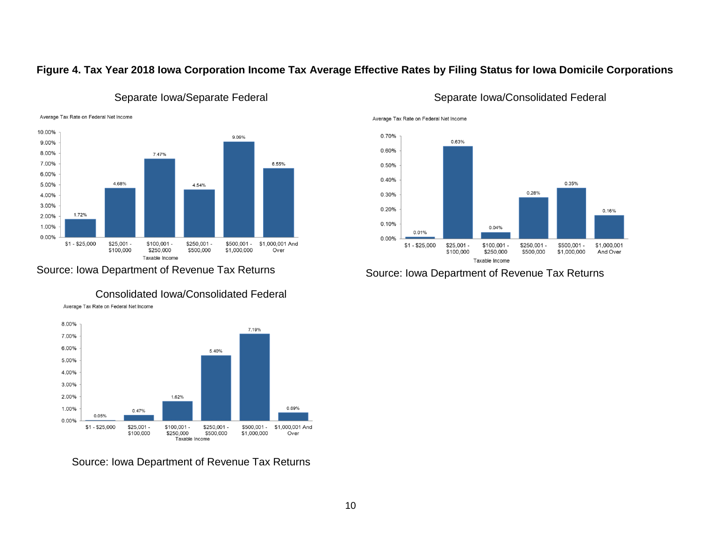# <span id="page-10-0"></span>**Figure 4. Tax Year 2018 Iowa Corporation Income Tax Average Effective Rates by Filing Status for Iowa Domicile Corporations**





# Separate Iowa/Separate Federal Separate Iowa/Consolidated Federal

Source: Iowa Department of Revenue Tax Returns Source: Iowa Department of Revenue Tax Returns



Average Tax Rate on Federal Net Income



Source: Iowa Department of Revenue Tax Returns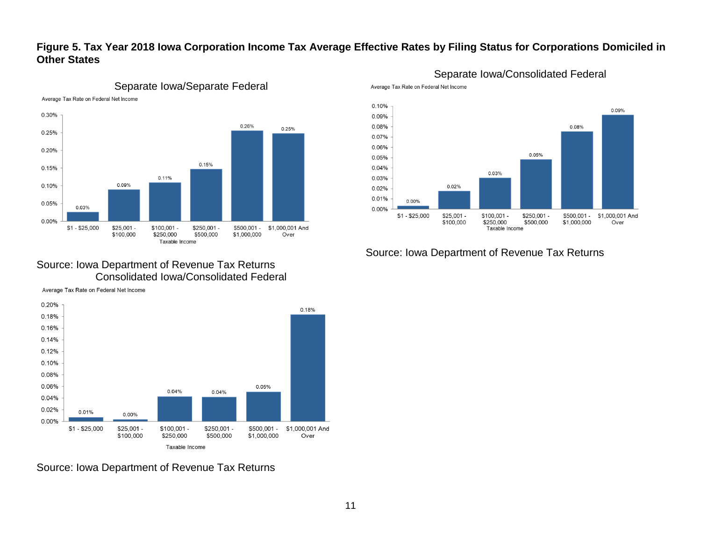# <span id="page-11-0"></span>**Figure 5. Tax Year 2018 Iowa Corporation Income Tax Average Effective Rates by Filing Status for Corporations Domiciled in Other States**



# Separate Iowa/Separate Federal

# Separate Iowa/Consolidated Federal





## Source: Iowa Department of Revenue Tax Returns

#### Source: Iowa Department of Revenue Tax Returns Consolidated Iowa/Consolidated Federal

Average Tax Rate on Federal Net Income

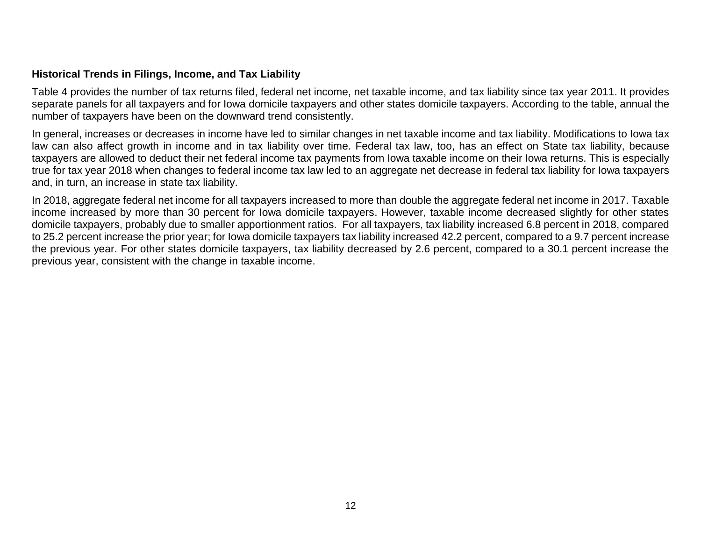#### <span id="page-12-0"></span>**Historical Trends in Filings, Income, and Tax Liability**

Table 4 provides the number of tax returns filed, federal net income, net taxable income, and tax liability since tax year 2011. It provides separate panels for all taxpayers and for Iowa domicile taxpayers and other states domicile taxpayers. According to the table, annual the number of taxpayers have been on the downward trend consistently.

In general, increases or decreases in income have led to similar changes in net taxable income and tax liability. Modifications to Iowa tax law can also affect growth in income and in tax liability over time. Federal tax law, too, has an effect on State tax liability, because taxpayers are allowed to deduct their net federal income tax payments from Iowa taxable income on their Iowa returns. This is especially true for tax year 2018 when changes to federal income tax law led to an aggregate net decrease in federal tax liability for Iowa taxpayers and, in turn, an increase in state tax liability.

In 2018, aggregate federal net income for all taxpayers increased to more than double the aggregate federal net income in 2017. Taxable income increased by more than 30 percent for Iowa domicile taxpayers. However, taxable income decreased slightly for other states domicile taxpayers, probably due to smaller apportionment ratios. For all taxpayers, tax liability increased 6.8 percent in 2018, compared to 25.2 percent increase the prior year; for Iowa domicile taxpayers tax liability increased 42.2 percent, compared to a 9.7 percent increase the previous year. For other states domicile taxpayers, tax liability decreased by 2.6 percent, compared to a 30.1 percent increase the previous year, consistent with the change in taxable income.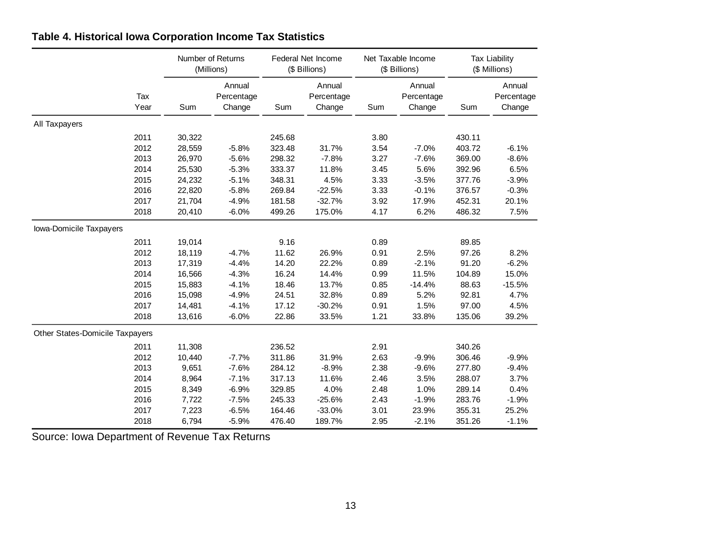|                                 |             |        | Number of Returns<br>(Millions) |        | Federal Net Income<br>(\$ Billions) |      | Net Taxable Income<br>(\$ Billions) |        | <b>Tax Liability</b><br>(\$ Millions) |
|---------------------------------|-------------|--------|---------------------------------|--------|-------------------------------------|------|-------------------------------------|--------|---------------------------------------|
|                                 | Tax<br>Year | Sum    | Annual<br>Percentage<br>Change  | Sum    | Annual<br>Percentage<br>Change      | Sum  | Annual<br>Percentage<br>Change      | Sum    | Annual<br>Percentage<br>Change        |
| All Taxpayers                   |             |        |                                 |        |                                     |      |                                     |        |                                       |
|                                 | 2011        | 30,322 |                                 | 245.68 |                                     | 3.80 |                                     | 430.11 |                                       |
|                                 | 2012        | 28,559 | $-5.8%$                         | 323.48 | 31.7%                               | 3.54 | $-7.0%$                             | 403.72 | $-6.1%$                               |
|                                 | 2013        | 26,970 | $-5.6%$                         | 298.32 | $-7.8%$                             | 3.27 | $-7.6%$                             | 369.00 | $-8.6%$                               |
|                                 | 2014        | 25,530 | $-5.3%$                         | 333.37 | 11.8%                               | 3.45 | 5.6%                                | 392.96 | 6.5%                                  |
|                                 | 2015        | 24,232 | $-5.1%$                         | 348.31 | 4.5%                                | 3.33 | $-3.5%$                             | 377.76 | $-3.9%$                               |
|                                 | 2016        | 22,820 | $-5.8%$                         | 269.84 | $-22.5%$                            | 3.33 | $-0.1%$                             | 376.57 | $-0.3%$                               |
|                                 | 2017        | 21,704 | $-4.9%$                         | 181.58 | $-32.7%$                            | 3.92 | 17.9%                               | 452.31 | 20.1%                                 |
|                                 | 2018        | 20,410 | $-6.0%$                         | 499.26 | 175.0%                              | 4.17 | 6.2%                                | 486.32 | 7.5%                                  |
| Iowa-Domicile Taxpayers         |             |        |                                 |        |                                     |      |                                     |        |                                       |
|                                 | 2011        | 19,014 |                                 | 9.16   |                                     | 0.89 |                                     | 89.85  |                                       |
|                                 | 2012        | 18,119 | $-4.7%$                         | 11.62  | 26.9%                               | 0.91 | 2.5%                                | 97.26  | 8.2%                                  |
|                                 | 2013        | 17,319 | $-4.4%$                         | 14.20  | 22.2%                               | 0.89 | $-2.1%$                             | 91.20  | $-6.2%$                               |
|                                 | 2014        | 16,566 | $-4.3%$                         | 16.24  | 14.4%                               | 0.99 | 11.5%                               | 104.89 | 15.0%                                 |
|                                 | 2015        | 15,883 | $-4.1%$                         | 18.46  | 13.7%                               | 0.85 | $-14.4%$                            | 88.63  | $-15.5%$                              |
|                                 | 2016        | 15,098 | $-4.9%$                         | 24.51  | 32.8%                               | 0.89 | 5.2%                                | 92.81  | 4.7%                                  |
|                                 | 2017        | 14,481 | $-4.1%$                         | 17.12  | $-30.2%$                            | 0.91 | 1.5%                                | 97.00  | 4.5%                                  |
|                                 | 2018        | 13,616 | $-6.0%$                         | 22.86  | 33.5%                               | 1.21 | 33.8%                               | 135.06 | 39.2%                                 |
| Other States-Domicile Taxpayers |             |        |                                 |        |                                     |      |                                     |        |                                       |
|                                 | 2011        | 11,308 |                                 | 236.52 |                                     | 2.91 |                                     | 340.26 |                                       |
|                                 | 2012        | 10,440 | $-7.7%$                         | 311.86 | 31.9%                               | 2.63 | $-9.9%$                             | 306.46 | $-9.9%$                               |
|                                 | 2013        | 9,651  | $-7.6%$                         | 284.12 | $-8.9%$                             | 2.38 | $-9.6%$                             | 277.80 | $-9.4%$                               |
|                                 | 2014        | 8,964  | $-7.1%$                         | 317.13 | 11.6%                               | 2.46 | 3.5%                                | 288.07 | 3.7%                                  |
|                                 | 2015        | 8,349  | $-6.9%$                         | 329.85 | 4.0%                                | 2.48 | 1.0%                                | 289.14 | 0.4%                                  |
|                                 | 2016        | 7,722  | $-7.5%$                         | 245.33 | $-25.6%$                            | 2.43 | $-1.9%$                             | 283.76 | $-1.9%$                               |
|                                 | 2017        | 7,223  | $-6.5%$                         | 164.46 | $-33.0%$                            | 3.01 | 23.9%                               | 355.31 | 25.2%                                 |
|                                 | 2018        | 6,794  | $-5.9%$                         | 476.40 | 189.7%                              | 2.95 | $-2.1%$                             | 351.26 | $-1.1%$                               |

# <span id="page-13-0"></span>**Table 4. Historical Iowa Corporation Income Tax Statistics**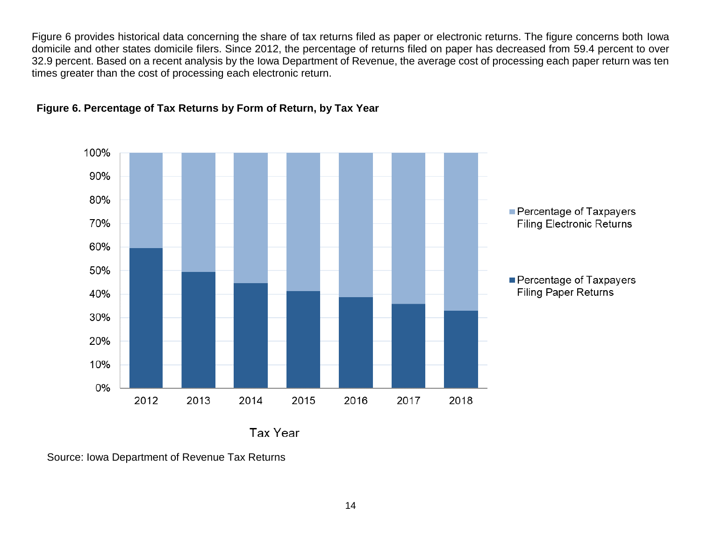Figure 6 provides historical data concerning the share of tax returns filed as paper or electronic returns. The figure concerns both Iowa domicile and other states domicile filers. Since 2012, the percentage of returns filed on paper has decreased from 59.4 percent to over 32.9 percent. Based on a recent analysis by the Iowa Department of Revenue, the average cost of processing each paper return was ten times greater than the cost of processing each electronic return.



## <span id="page-14-0"></span>**Figure 6. Percentage of Tax Returns by Form of Return, by Tax Year**

Tax Year

Source: Iowa Department of Revenue Tax Returns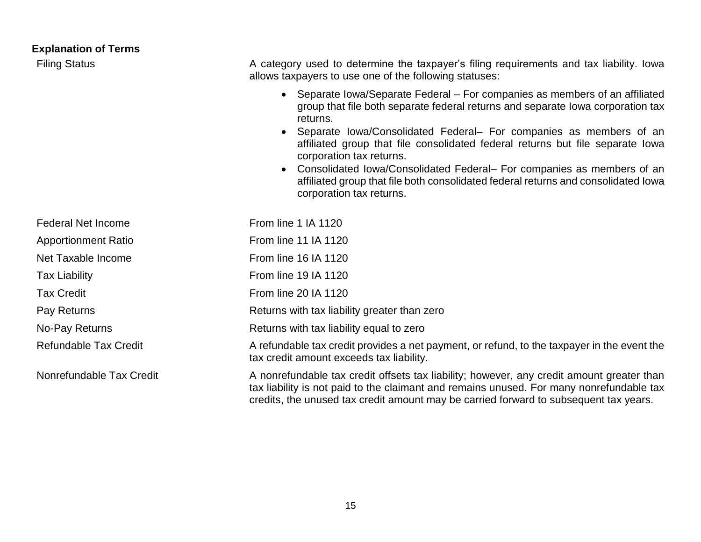<span id="page-15-0"></span>

| <b>Explanation of Terms</b>  |                                                                                                                                                                                                                                                                                                                                                                                                                                                                                                                                                             |
|------------------------------|-------------------------------------------------------------------------------------------------------------------------------------------------------------------------------------------------------------------------------------------------------------------------------------------------------------------------------------------------------------------------------------------------------------------------------------------------------------------------------------------------------------------------------------------------------------|
| <b>Filing Status</b>         | A category used to determine the taxpayer's filing requirements and tax liability. Iowa<br>allows taxpayers to use one of the following statuses:                                                                                                                                                                                                                                                                                                                                                                                                           |
|                              | • Separate Iowa/Separate Federal – For companies as members of an affiliated<br>group that file both separate federal returns and separate lowa corporation tax<br>returns.<br>Separate Iowa/Consolidated Federal- For companies as members of an<br>affiliated group that file consolidated federal returns but file separate lowa<br>corporation tax returns.<br>Consolidated Iowa/Consolidated Federal– For companies as members of an<br>affiliated group that file both consolidated federal returns and consolidated lowa<br>corporation tax returns. |
| <b>Federal Net Income</b>    | From line 1 IA 1120                                                                                                                                                                                                                                                                                                                                                                                                                                                                                                                                         |
| <b>Apportionment Ratio</b>   | From line 11 IA 1120                                                                                                                                                                                                                                                                                                                                                                                                                                                                                                                                        |
| Net Taxable Income           | From line 16 IA 1120                                                                                                                                                                                                                                                                                                                                                                                                                                                                                                                                        |
| <b>Tax Liability</b>         | From line 19 IA 1120                                                                                                                                                                                                                                                                                                                                                                                                                                                                                                                                        |
| <b>Tax Credit</b>            | From line 20 IA 1120                                                                                                                                                                                                                                                                                                                                                                                                                                                                                                                                        |
| Pay Returns                  | Returns with tax liability greater than zero                                                                                                                                                                                                                                                                                                                                                                                                                                                                                                                |
| No-Pay Returns               | Returns with tax liability equal to zero                                                                                                                                                                                                                                                                                                                                                                                                                                                                                                                    |
| <b>Refundable Tax Credit</b> | A refundable tax credit provides a net payment, or refund, to the taxpayer in the event the<br>tax credit amount exceeds tax liability.                                                                                                                                                                                                                                                                                                                                                                                                                     |
| Nonrefundable Tax Credit     | A nonrefundable tax credit offsets tax liability; however, any credit amount greater than<br>tax liability is not paid to the claimant and remains unused. For many nonrefundable tax                                                                                                                                                                                                                                                                                                                                                                       |

credits, the unused tax credit amount may be carried forward to subsequent tax years.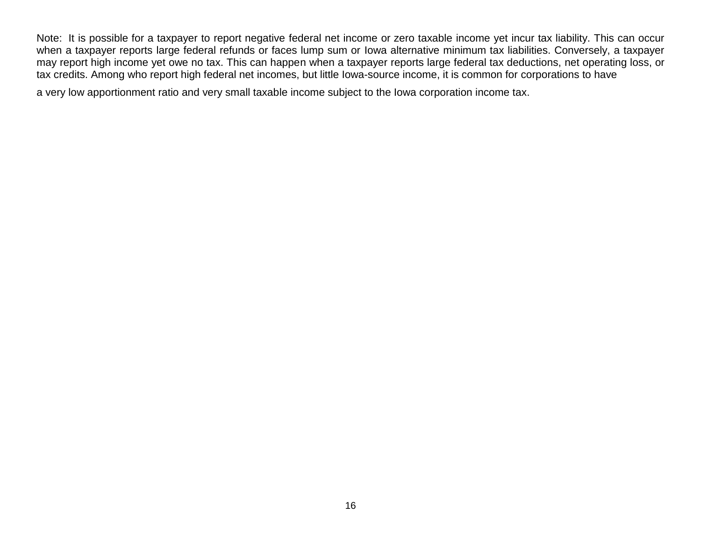Note: It is possible for a taxpayer to report negative federal net income or zero taxable income yet incur tax liability. This can occur when a taxpayer reports large federal refunds or faces lump sum or Iowa alternative minimum tax liabilities. Conversely, a taxpayer may report high income yet owe no tax. This can happen when a taxpayer reports large federal tax deductions, net operating loss, or tax credits. Among who report high federal net incomes, but little Iowa-source income, it is common for corporations to have

a very low apportionment ratio and very small taxable income subject to the Iowa corporation income tax.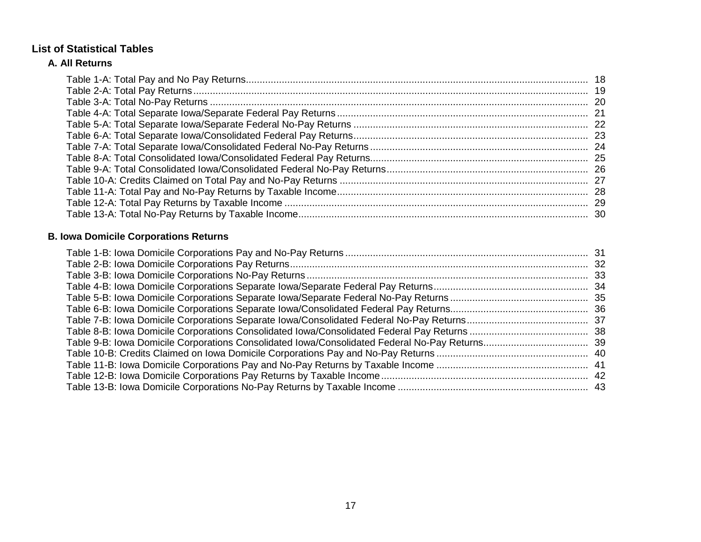# <span id="page-17-0"></span>**List of Statistical Tables**

# **A. All Returns**

# **B. Iowa Domicile Corporations Returns**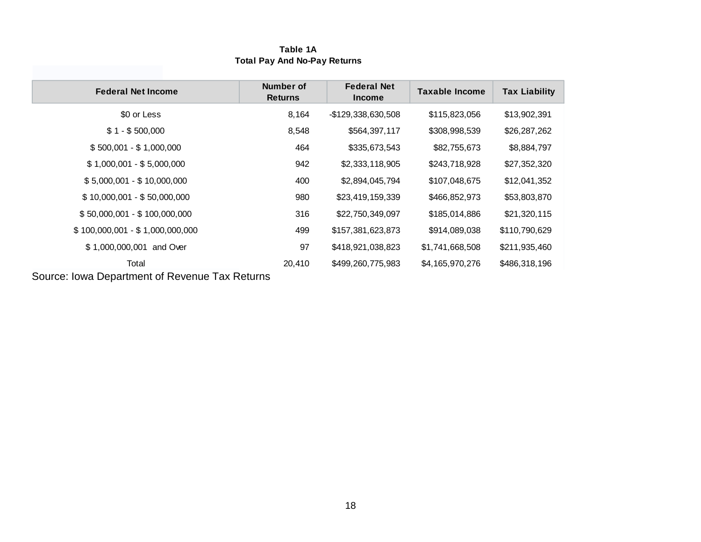#### **Table 1A Total Pay And No-Pay Returns**

| <b>Number of</b><br><b>Returns</b> | <b>Federal Net</b><br><b>Income</b>            | <b>Taxable Income</b> | <b>Tax Liability</b> |
|------------------------------------|------------------------------------------------|-----------------------|----------------------|
| 8,164                              | -\$129,338,630,508                             | \$115,823,056         | \$13,902,391         |
| 8,548                              | \$564,397,117                                  | \$308,998,539         | \$26,287,262         |
| 464                                | \$335,673,543                                  | \$82,755,673          | \$8,884,797          |
| 942                                | \$2,333,118,905                                | \$243,718,928         | \$27,352,320         |
| 400                                | \$2,894,045,794                                | \$107,048,675         | \$12,041,352         |
| 980                                | \$23,419,159,339                               | \$466,852,973         | \$53,803,870         |
| 316                                | \$22,750,349,097                               | \$185,014,886         | \$21,320,115         |
| 499                                | \$157,381,623,873                              | \$914,089,038         | \$110,790,629        |
| 97                                 | \$418,921,038,823                              | \$1,741,668,508       | \$211,935,460        |
| 20,410                             | \$499,260,775,983                              | \$4,165,970,276       | \$486,318,196        |
|                                    | Course Joure Department of Devenue Tay Deturne |                       |                      |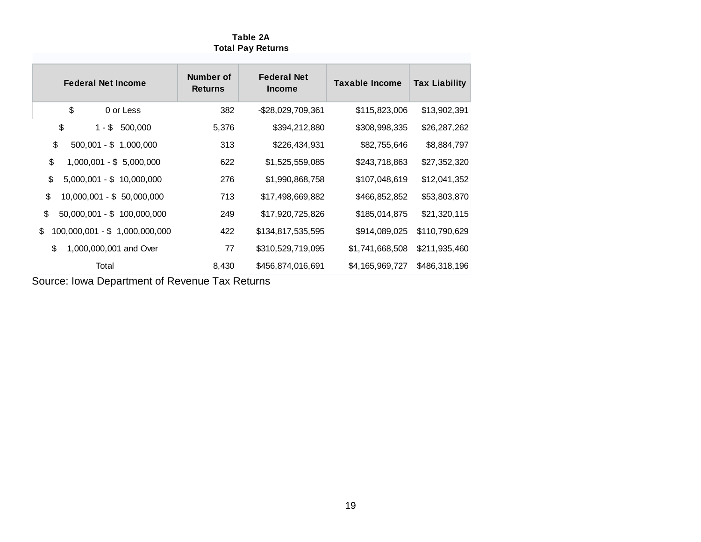#### **Table 2A Total Pay Returns**

| <b>Federal Net Income</b>            | Number of<br><b>Returns</b> | <b>Federal Net</b><br><b>Income</b> | <b>Taxable Income</b> | <b>Tax Liability</b> |
|--------------------------------------|-----------------------------|-------------------------------------|-----------------------|----------------------|
| \$<br>0 or Less                      | 382                         | -\$28,029,709,361                   | \$115,823,006         | \$13,902,391         |
| \$<br>$1 - $$<br>500,000             | 5,376                       | \$394,212,880                       | \$308,998,335         | \$26,287,262         |
| \$<br>$500,001 - $ 1,000,000$        | 313                         | \$226,434,931                       | \$82,755,646          | \$8,884,797          |
| \$<br>1,000,001 - \$ 5,000,000       | 622                         | \$1,525,559,085                     | \$243,718,863         | \$27,352,320         |
| \$<br>$5,000,001 - $ 10,000,000$     | 276                         | \$1,990,868,758                     | \$107,048,619         | \$12,041,352         |
| \$<br>$10,000,001 - $50,000,000$     | 713                         | \$17,498,669,882                    | \$466,852,852         | \$53,803,870         |
| \$<br>50,000,001 - \$ 100,000,000    | 249                         | \$17,920,725,826                    | \$185,014,875         | \$21,320,115         |
| \$<br>100,000,001 - \$ 1,000,000,000 | 422                         | \$134,817,535,595                   | \$914,089,025         | \$110,790,629        |
| \$<br>1,000,000,001 and Over         | 77                          | \$310,529,719,095                   | \$1,741,668,508       | \$211,935,460        |
| Total                                | 8,430                       | \$456,874,016,691                   | \$4,165,969,727       | \$486,318,196        |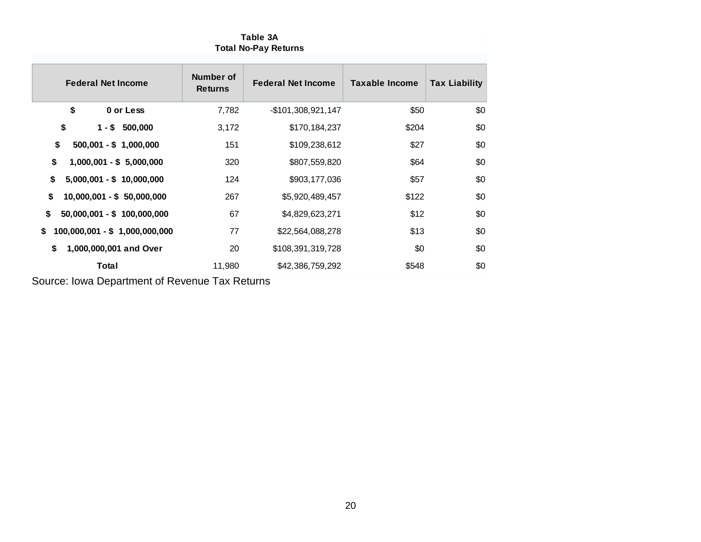| <b>Federal Net Income</b>           | Number of<br><b>Returns</b> | <b>Federal Net Income</b> | <b>Taxable Income</b> | <b>Tax Liability</b> |
|-------------------------------------|-----------------------------|---------------------------|-----------------------|----------------------|
| \$<br>0 or Less                     | 7,782                       | $-$101,308,921,147$       | \$50                  | \$0                  |
| \$<br>$1 - $500,000$                | 3,172                       | \$170,184,237             | \$204                 | \$0                  |
| \$<br>$500,001 - $ 1,000,000$       | 151                         | \$109,238,612             | \$27                  | \$0                  |
| \$<br>$1,000,001 - $5,000,000$      | 320                         | \$807,559,820             | \$64                  | \$0                  |
| \$<br>$5,000,001 - $ 10,000,000$    | 124                         | \$903,177,036             | \$57                  | \$0                  |
| \$<br>$10,000,001 - $50,000,000$    | 267                         | \$5,920,489,457           | \$122                 | \$0                  |
| \$<br>$50,000,001 - $ 100,000,000$  | 67                          | \$4,829,623,271           | \$12                  | \$0                  |
| 100,000,001 - \$ 1,000,000,000<br>S | 77                          | \$22,564,088,278          | \$13                  | \$0                  |
| 1,000,000,001 and Over<br>\$        | 20                          | \$108,391,319,728         | \$0                   | \$0                  |
| Total                               | 11,980                      | \$42,386,759,292          | \$548                 | \$0                  |

#### **Table 3A Total No-Pay Returns**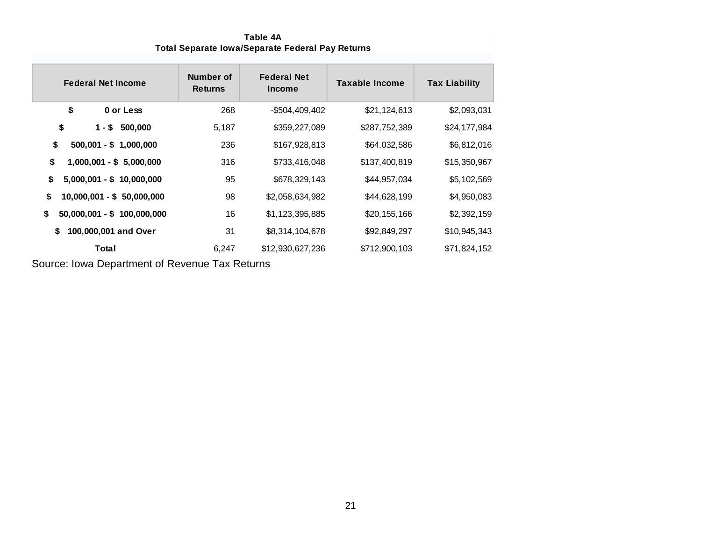#### **Table 4A Total Separate Iowa/Separate Federal Pay Returns**

| <b>Federal Net Income</b>          | Number of<br><b>Returns</b> | <b>Federal Net</b><br><b>Income</b> | <b>Taxable Income</b> | <b>Tax Liability</b> |
|------------------------------------|-----------------------------|-------------------------------------|-----------------------|----------------------|
| \$<br>0 or Less                    | 268                         | $-$504,409,402$                     | \$21,124,613          | \$2,093,031          |
| \$<br>$1 - $500,000$               | 5,187                       | \$359,227,089                       | \$287,752,389         | \$24,177,984         |
| \$<br>$500,001 - $ 1,000,000$      | 236                         | \$167,928,813                       | \$64,032,586          | \$6,812,016          |
| \$<br>$1,000,001 - $5,000,000$     | 316                         | \$733,416,048                       | \$137,400,819         | \$15,350,967         |
| \$<br>$5,000,001 - $ 10,000,000$   | 95                          | \$678,329,143                       | \$44,957,034          | \$5,102,569          |
| \$<br>$10,000,001 - $ 50,000,000$  | 98                          | \$2,058,634,982                     | \$44,628,199          | \$4,950,083          |
| \$<br>$50,000,001 - $ 100,000,000$ | 16                          | \$1,123,395,885                     | \$20,155,166          | \$2,392,159          |
| 100,000,001 and Over<br>S          | 31                          | \$8,314,104,678                     | \$92,849,297          | \$10,945,343         |
| Total                              | 6,247                       | \$12,930,627,236                    | \$712,900,103         | \$71,824,152         |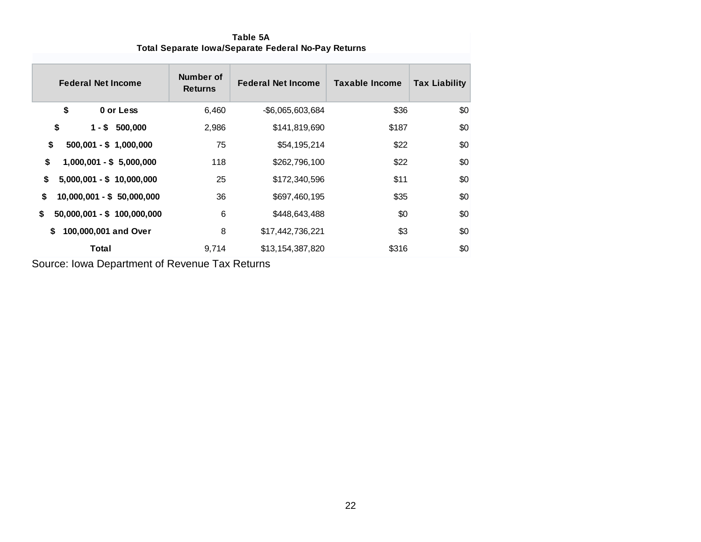| <b>Federal Net Income</b>          | Number of<br><b>Returns</b> | <b>Federal Net Income</b> | <b>Taxable Income</b> | <b>Tax Liability</b> |
|------------------------------------|-----------------------------|---------------------------|-----------------------|----------------------|
| \$<br>0 or Less                    | 6,460                       | $-$ \$6,065,603,684       | \$36                  | \$0                  |
| \$<br>$1 - $500,000$               | 2,986                       | \$141,819,690             | \$187                 | \$0                  |
| \$<br>$500,001 - $ 1,000,000$      | 75                          | \$54,195,214              | \$22                  | \$0                  |
| \$<br>$1,000,001 - $5,000,000$     | 118                         | \$262,796,100             | \$22                  | \$0                  |
| $5,000,001 - $ 10,000,000$<br>\$   | 25                          | \$172,340,596             | \$11                  | \$0                  |
| \$<br>$10,000,001 - $ 50,000,000$  | 36                          | \$697,460,195             | \$35                  | \$0                  |
| $50,000,001 - $ 100,000,000$<br>\$ | 6                           | \$448,643,488             | \$0                   | \$0                  |
| 100,000,001 and Over<br>S.         | 8                           | \$17,442,736,221          | \$3                   | \$0                  |
| Total                              | 9,714                       | \$13,154,387,820          | \$316                 | \$0                  |

**Table 5A Total Separate Iowa/Separate Federal No-Pay Returns**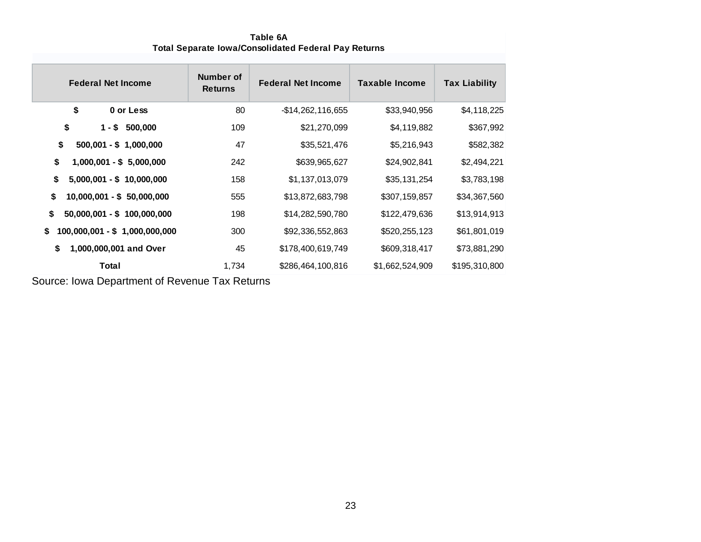| <b>Federal Net Income</b>            | Number of<br><b>Returns</b> | <b>Federal Net Income</b> | Taxable Income  | <b>Tax Liability</b> |
|--------------------------------------|-----------------------------|---------------------------|-----------------|----------------------|
| \$<br>0 or Less                      | 80                          | $-$14,262,116,655$        | \$33,940,956    | \$4,118,225          |
| \$<br>$1 - $$<br>500,000             | 109                         | \$21,270,099              | \$4,119,882     | \$367,992            |
| \$<br>$500,001 - $ 1,000,000$        | 47                          | \$35,521,476              | \$5,216,943     | \$582,382            |
| \$<br>$1,000,001 - $5,000,000$       | 242                         | \$639,965,627             | \$24,902,841    | \$2,494,221          |
| \$<br>$5,000,001 - $ 10,000,000$     | 158                         | \$1,137,013,079           | \$35,131,254    | \$3,783,198          |
| \$<br>$10,000,001 - $ 50,000,000$    | 555                         | \$13,872,683,798          | \$307,159,857   | \$34,367,560         |
| \$<br>$50,000,001 - $ 100,000,000$   | 198                         | \$14,282,590,780          | \$122,479,636   | \$13,914,913         |
| \$<br>100,000,001 - \$ 1,000,000,000 | 300                         | \$92,336,552,863          | \$520,255,123   | \$61,801,019         |
| \$<br>1,000,000,001 and Over         | 45                          | \$178,400,619,749         | \$609,318,417   | \$73,881,290         |
| Total                                | 1,734                       | \$286,464,100,816         | \$1,662,524,909 | \$195,310,800        |

**Table 6A Total Separate Iowa/Consolidated Federal Pay Returns**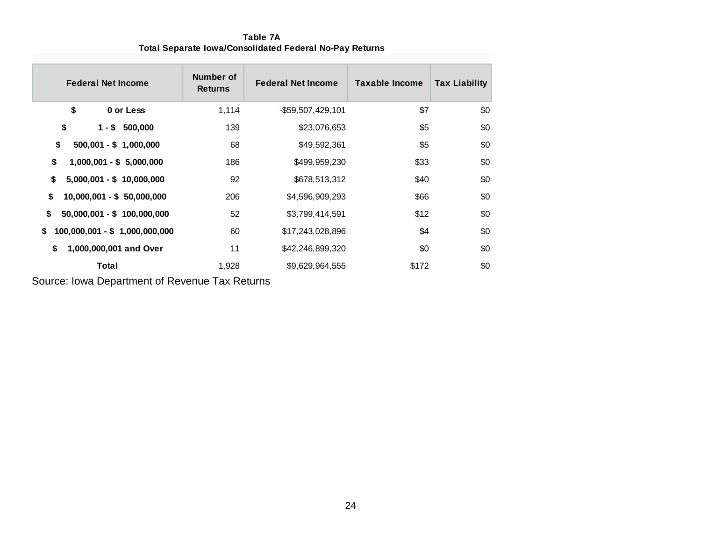| <b>Federal Net Income</b>            | Number of<br><b>Returns</b> | <b>Federal Net Income</b> | <b>Taxable Income</b> | <b>Tax Liability</b> |
|--------------------------------------|-----------------------------|---------------------------|-----------------------|----------------------|
| \$<br>0 or Less                      | 1,114                       | -\$59,507,429,101         | \$7                   | \$0                  |
| \$<br>$1 - $500,000$                 | 139                         | \$23,076,653              | \$5                   | \$0                  |
| \$<br>$500,001 - $ 1,000,000$        | 68                          | \$49,592,361              | \$5                   | \$0                  |
| \$<br>$1,000,001 - $5,000,000$       | 186                         | \$499,959,230             | \$33                  | \$0                  |
| \$<br>$5,000,001 - $ 10,000,000$     | 92                          | \$678,513,312             | \$40                  | \$0                  |
| \$<br>$10,000,001 - $ 50,000,000$    | 206                         | \$4,596,909,293           | \$66                  | \$0                  |
| \$<br>50,000,001 - \$ 100,000,000    | 52                          | \$3,799,414,591           | \$12                  | \$0                  |
| 100,000,001 - \$ 1,000,000,000<br>\$ | 60                          | \$17,243,028,896          | \$4                   | \$0                  |
| 1,000,000,001 and Over<br>S          | 11                          | \$42,246,899,320          | \$0                   | \$0                  |
| Total                                | 1,928                       | \$9,629,964,555           | \$172                 | \$0                  |

**Table 7A Total Separate Iowa/Consolidated Federal No-Pay Returns**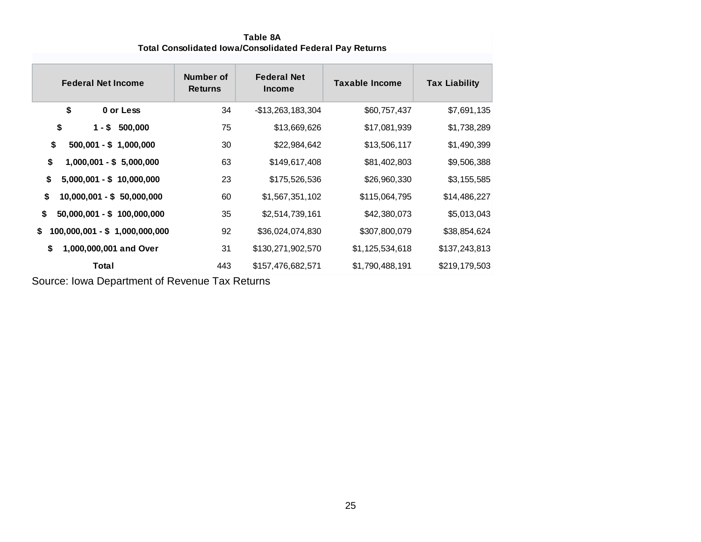**Table 8A Total Consolidated Iowa/Consolidated Federal Pay Returns**

| <b>Federal Net Income</b>            | <b>Number of</b><br><b>Returns</b> | <b>Federal Net</b><br><b>Income</b> | <b>Taxable Income</b> | <b>Tax Liability</b> |
|--------------------------------------|------------------------------------|-------------------------------------|-----------------------|----------------------|
| \$<br>0 or Less                      | 34                                 | -\$13,263,183,304                   | \$60,757,437          | \$7,691,135          |
| \$<br>500,000<br>$1 - $$             | 75                                 | \$13,669,626                        | \$17,081,939          | \$1,738,289          |
| \$<br>$500,001 - $ 1,000,000$        | 30                                 | \$22,984,642                        | \$13,506,117          | \$1,490,399          |
| \$<br>$1,000,001 - $5,000,000$       | 63                                 | \$149,617,408                       | \$81,402,803          | \$9,506,388          |
| \$<br>$5,000,001 - $ 10,000,000$     | 23                                 | \$175,526,536                       | \$26,960,330          | \$3,155,585          |
| \$<br>10,000,001 - \$ 50,000,000     | 60                                 | \$1,567,351,102                     | \$115,064,795         | \$14,486,227         |
| \$<br>$50,000,001 - $ 100,000,000$   | 35                                 | \$2,514,739,161                     | \$42,380,073          | \$5,013,043          |
| \$<br>100,000,001 - \$ 1,000,000,000 | 92                                 | \$36,024,074,830                    | \$307,800,079         | \$38,854,624         |
| \$<br>1,000,000,001 and Over         | 31                                 | \$130,271,902,570                   | \$1,125,534,618       | \$137,243,813        |
| Total                                | 443                                | \$157,476,682,571                   | \$1,790,488,191       | \$219,179,503        |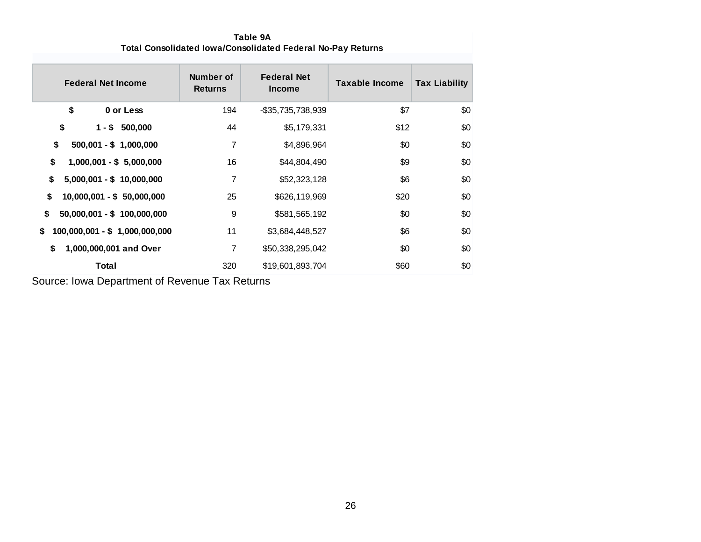| <b>Federal Net Income</b>            | Number of<br><b>Returns</b> | <b>Federal Net</b><br><b>Income</b> | <b>Taxable Income</b> | <b>Tax Liability</b> |
|--------------------------------------|-----------------------------|-------------------------------------|-----------------------|----------------------|
| \$<br>0 or Less                      | 194                         | -\$35,735,738,939                   | \$7                   | \$0                  |
| \$<br>$1 - $500,000$                 | 44                          | \$5,179,331                         | \$12                  | \$0                  |
| \$<br>$500,001 - $ 1,000,000$        | 7                           | \$4,896,964                         | \$0                   | \$0                  |
| \$<br>$1,000,001 - $5,000,000$       | 16                          | \$44,804,490                        | \$9                   | \$0                  |
| \$<br>$5,000,001 - $ 10,000,000$     | 7                           | \$52,323,128                        | \$6                   | \$0                  |
| \$<br>$10,000,001 - $ 50,000,000$    | 25                          | \$626,119,969                       | \$20                  | \$0                  |
| \$<br>$50,000,001 - $ 100,000,000$   | 9                           | \$581,565,192                       | \$0                   | \$0                  |
| 100,000,001 - \$ 1,000,000,000<br>S. | 11                          | \$3,684,448,527                     | \$6                   | \$0                  |
| \$<br>1,000,000,001 and Over         | 7                           | \$50,338,295,042                    | \$0                   | \$0                  |
| Total                                | 320                         | \$19,601,893,704                    | \$60                  | \$0                  |

**Table 9A Total Consolidated Iowa/Consolidated Federal No-Pay Returns**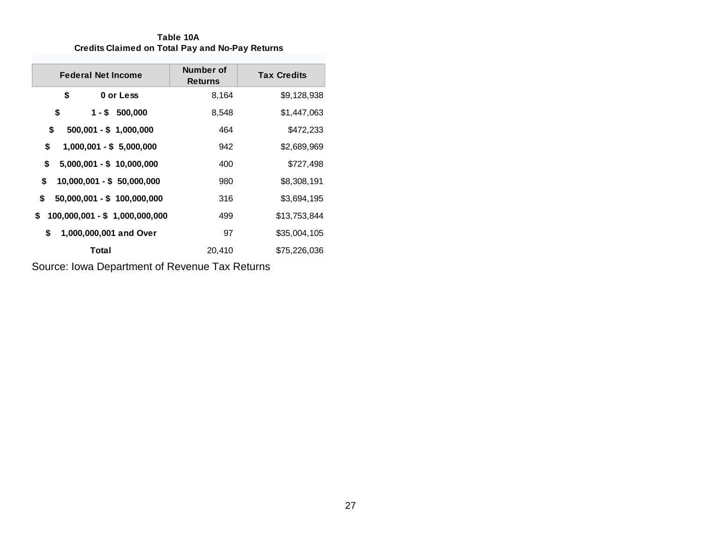**Table 10A Credits Claimed on Total Pay and No-Pay Returns**

| <b>Federal Net Income</b>            | Number of<br><b>Returns</b> | <b>Tax Credits</b> |
|--------------------------------------|-----------------------------|--------------------|
| \$<br>0 or Less                      | 8,164                       | \$9,128,938        |
| \$<br>$1 - $500,000$                 | 8,548                       | \$1,447,063        |
| \$<br>$500,001 - $ 1,000,000$        | 464                         | \$472,233          |
| \$<br>1,000,001 - \$ 5,000,000       | 942                         | \$2,689,969        |
| \$<br>$5,000,001 - $ 10,000,000$     | 400                         | \$727,498          |
| \$<br>$10,000,001 - $50,000,000$     | 980                         | \$8,308,191        |
| \$<br>50,000,001 - \$ 100,000,000    | 316                         | \$3,694,195        |
| 100,000,001 - \$ 1,000,000,000<br>S. | 499                         | \$13,753,844       |
| \$<br>1,000,000,001 and Over         | 97                          | \$35,004,105       |
| Total                                | 20,410                      | \$75,226,036       |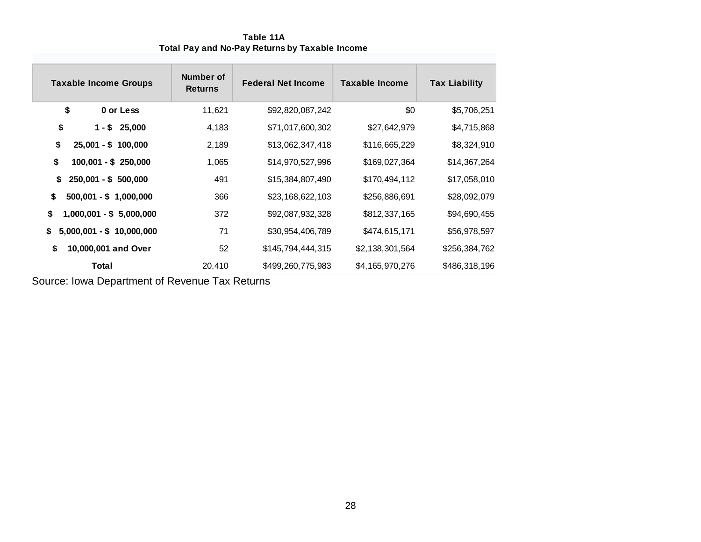| <b>Taxable Income Groups</b>     | Number of<br><b>Returns</b> | <b>Federal Net Income</b> | Taxable Income  | <b>Tax Liability</b> |
|----------------------------------|-----------------------------|---------------------------|-----------------|----------------------|
| \$<br>0 or Less                  | 11,621                      | \$92,820,087,242          | \$0             | \$5,706,251          |
| \$<br>25,000<br>1 - \$           | 4,183                       | \$71,017,600,302          | \$27,642,979    | \$4,715,868          |
| \$<br>$25,001 - $ 100,000$       | 2,189                       | \$13,062,347,418          | \$116,665,229   | \$8,324,910          |
| \$<br>$100,001 - $250,000$       | 1,065                       | \$14,970,527,996          | \$169,027,364   | \$14,367,264         |
| \$<br>$250,001 - $500,000$       | 491                         | \$15,384,807,490          | \$170,494,112   | \$17,058,010         |
| \$<br>$500,001 - $ 1,000,000$    | 366                         | \$23,168,622,103          | \$256,886,691   | \$28,092,079         |
| \$<br>$1,000,001 - $5,000,000$   | 372                         | \$92,087,932,328          | \$812,337,165   | \$94,690,455         |
| \$<br>$5,000,001 - $ 10,000,000$ | 71                          | \$30,954,406,789          | \$474,615,171   | \$56,978,597         |
| \$<br>10,000,001 and Over        | 52                          | \$145,794,444,315         | \$2,138,301,564 | \$256,384,762        |
| Total                            | 20,410                      | \$499,260,775,983         | \$4,165,970,276 | \$486,318,196        |

**Table 11A Total Pay and No-Pay Returns by Taxable Income**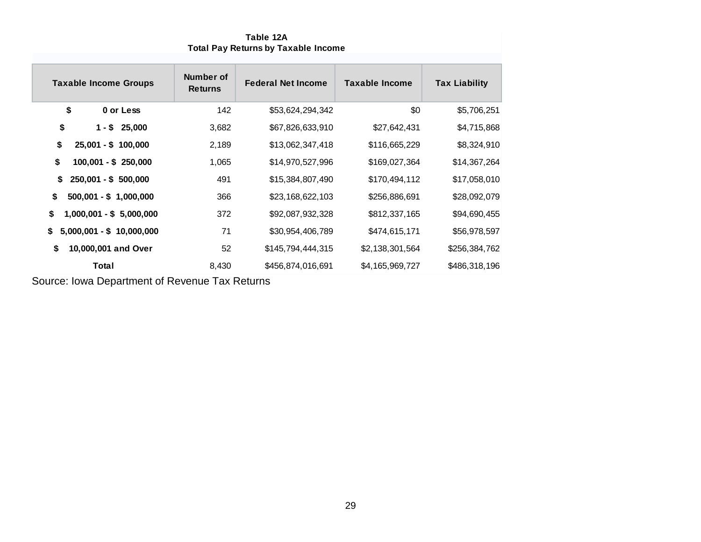| <b>Taxable Income Groups</b>     | Number of<br><b>Returns</b> | <b>Federal Net Income</b> | Taxable Income  | <b>Tax Liability</b> |
|----------------------------------|-----------------------------|---------------------------|-----------------|----------------------|
| \$<br>0 or Less                  | 142                         | \$53,624,294,342          | \$0             | \$5,706,251          |
| \$<br>$1 - $25,000$              | 3,682                       | \$67,826,633,910          | \$27,642,431    | \$4,715,868          |
| \$<br>$25,001 - $ 100,000$       | 2,189                       | \$13,062,347,418          | \$116,665,229   | \$8,324,910          |
| \$<br>$100,001 - $250,000$       | 1,065                       | \$14,970,527,996          | \$169,027,364   | \$14,367,264         |
| $250,001 - $500,000$<br>\$       | 491                         | \$15,384,807,490          | \$170,494,112   | \$17,058,010         |
| \$<br>$500,001 - $ 1,000,000$    | 366                         | \$23,168,622,103          | \$256,886,691   | \$28,092,079         |
| \$<br>$1,000,001 - $5,000,000$   | 372                         | \$92,087,932,328          | \$812,337,165   | \$94,690,455         |
| $5,000,001 - $ 10,000,000$<br>\$ | 71                          | \$30,954,406,789          | \$474,615,171   | \$56,978,597         |
| \$<br>10,000,001 and Over        | 52                          | \$145,794,444,315         | \$2,138,301,564 | \$256,384,762        |
| <b>Total</b>                     | 8,430                       | \$456,874,016,691         | \$4,165,969,727 | \$486,318,196        |

**Table 12A Total Pay Returns by Taxable Income**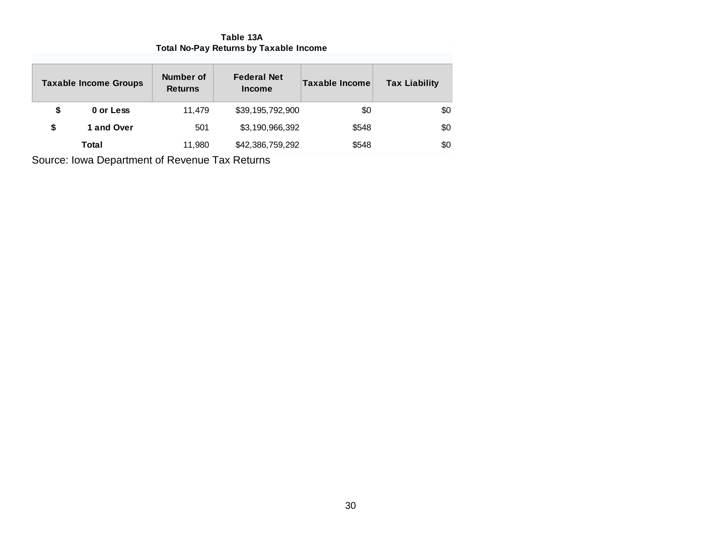**Table 13A Total No-Pay Returns by Taxable Income**

|    | <b>Taxable Income Groups</b> | Number of<br><b>Returns</b> | <b>Federal Net</b><br><b>Income</b> | Taxable Income | <b>Tax Liability</b> |
|----|------------------------------|-----------------------------|-------------------------------------|----------------|----------------------|
| \$ | 0 or Less                    | 11.479                      | \$39,195,792,900                    | \$0            | \$0                  |
| S  | 1 and Over                   | 501                         | \$3,190,966,392                     | \$548          | \$0                  |
|    | Total                        | 11,980                      | \$42,386,759,292                    | \$548          | \$0                  |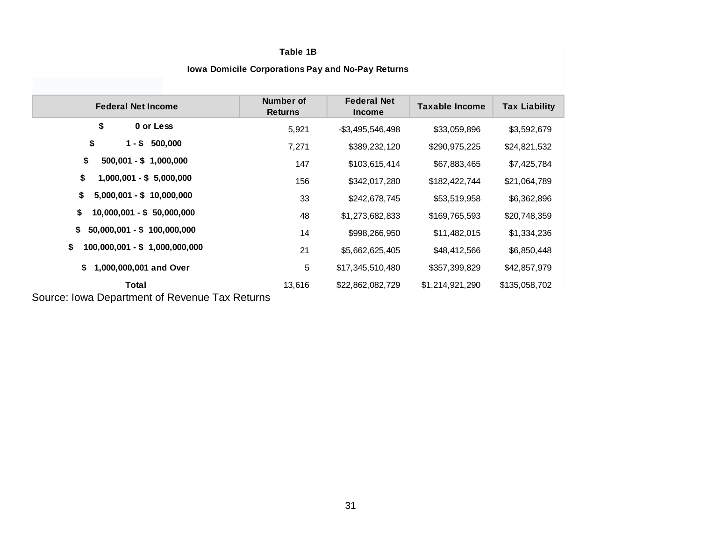#### **Table 1B**

| <b>Federal Net Income</b>             | Number of<br><b>Returns</b> | <b>Federal Net</b><br><b>Income</b> | <b>Taxable Income</b> | <b>Tax Liability</b> |
|---------------------------------------|-----------------------------|-------------------------------------|-----------------------|----------------------|
| \$<br>0 or Less                       | 5,921                       | $-$ \$3,495,546,498                 | \$33,059,896          | \$3,592,679          |
| \$<br>$1 - $ 500,000$                 | 7,271                       | \$389,232,120                       | \$290,975,225         | \$24,821,532         |
| \$<br>$500,001 - $ 1,000,000$         | 147                         | \$103,615,414                       | \$67,883,465          | \$7,425,784          |
| \$<br>$1,000,001 - $5,000,000$        | 156                         | \$342,017,280                       | \$182,422,744         | \$21,064,789         |
| \$<br>$5,000,001 - $ 10,000,000$      | 33                          | \$242,678,745                       | \$53,519,958          | \$6,362,896          |
| \$<br>$10,000,001 - $ 50,000,000$     | 48                          | \$1,273,682,833                     | \$169,765,593         | \$20,748,359         |
| \$<br>$50,000,001 - $ 100,000,000$    | 14                          | \$998,266,950                       | \$11,482,015          | \$1,334,236          |
| \$<br>$100,000,001 - $ 1,000,000,000$ | 21                          | \$5,662,625,405                     | \$48,412,566          | \$6,850,448          |
| 1,000,000,001 and Over<br>\$          | 5                           | \$17,345,510,480                    | \$357,399,829         | \$42,857,979         |
| Total                                 | 13,616                      | \$22,862,082,729                    | \$1,214,921,290       | \$135,058,702        |

#### **Iowa Domicile Corporations Pay and No-Pay Returns**

Source: Iowa Department of Revenue Tax Returns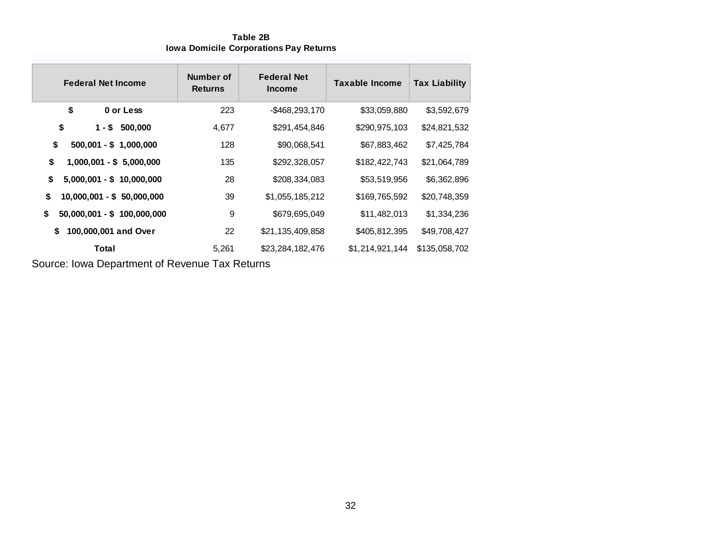**Table 2B Iowa Domicile Corporations Pay Returns**

| <b>Federal Net Income</b>          | Number of<br><b>Returns</b> | <b>Federal Net</b><br><b>Income</b> | <b>Taxable Income</b> | <b>Tax Liability</b> |
|------------------------------------|-----------------------------|-------------------------------------|-----------------------|----------------------|
| \$<br>0 or Less                    | 223                         | $-$ \$468,293,170                   | \$33,059,880          | \$3,592,679          |
| \$<br>500,000<br>1 - \$            | 4,677                       | \$291,454,846                       | \$290,975,103         | \$24,821,532         |
| \$<br>$500,001 - $ 1,000,000$      | 128                         | \$90,068,541                        | \$67,883,462          | \$7,425,784          |
| \$<br>$1,000,001 - $5,000,000$     | 135                         | \$292,328,057                       | \$182,422,743         | \$21,064,789         |
| \$<br>$5,000,001 - $ 10,000,000$   | 28                          | \$208,334,083                       | \$53,519,956          | \$6,362,896          |
| \$<br>$10,000,001 - $ 50,000,000$  | 39                          | \$1,055,185,212                     | \$169,765,592         | \$20,748,359         |
| \$<br>$50,000,001 - $ 100,000,000$ | 9                           | \$679,695,049                       | \$11,482,013          | \$1,334,236          |
| 100,000,001 and Over<br>\$         | 22                          | \$21,135,409,858                    | \$405,812,395         | \$49,708,427         |
| Total                              | 5,261                       | \$23,284,182,476                    | \$1,214,921,144       | \$135,058,702        |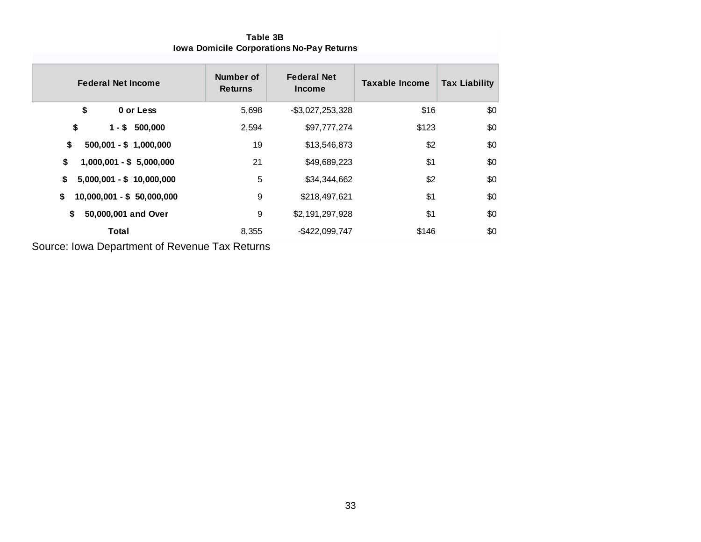| <b>Federal Net Income</b>        | Number of<br><b>Returns</b> | <b>Federal Net</b><br><b>Income</b> | <b>Taxable Income</b> | <b>Tax Liability</b> |
|----------------------------------|-----------------------------|-------------------------------------|-----------------------|----------------------|
| \$<br>0 or Less                  | 5,698                       | $-$ \$3,027,253,328                 | \$16                  | \$0                  |
| \$<br>$1 - $500,000$             | 2,594                       | \$97,777,274                        | \$123                 | \$0                  |
| \$<br>$500,001 - $ 1,000,000$    | 19                          | \$13,546,873                        | \$2                   | \$0                  |
| \$<br>$1,000,001 - $5,000,000$   | 21                          | \$49,689,223                        | \$1                   | \$0                  |
| \$<br>$5,000,001 - $ 10,000,000$ | 5                           | \$34,344,662                        | \$2                   | \$0                  |
| 10,000,001 - \$ 50,000,000<br>\$ | 9                           | \$218,497,621                       | \$1                   | \$0                  |
| \$<br>50,000,001 and Over        | 9                           | \$2,191,297,928                     | \$1                   | \$0                  |
| Total                            | 8,355                       | -\$422,099,747                      | \$146                 | \$0                  |

**Table 3B Iowa Domicile Corporations No-Pay Returns**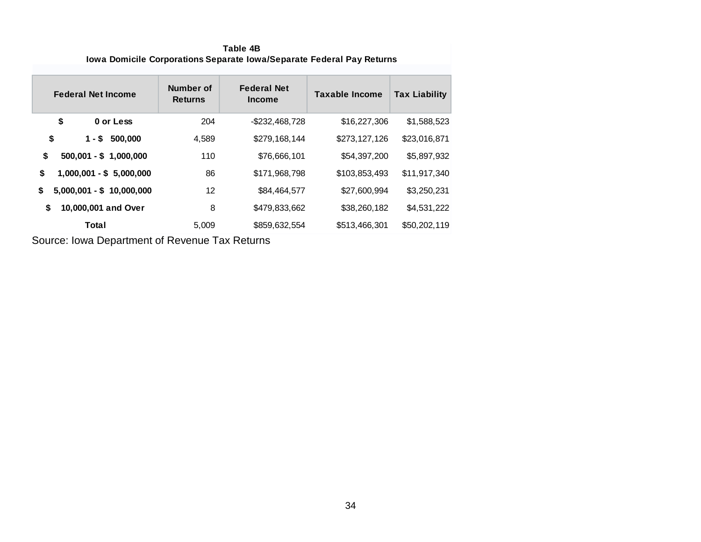**Table 4B Iowa Domicile Corporations Separate Iowa/Separate Federal Pay Returns**

| <b>Federal Net Income</b>        | Number of<br><b>Returns</b> | <b>Federal Net</b><br><b>Income</b> | <b>Taxable Income</b> | <b>Tax Liability</b> |
|----------------------------------|-----------------------------|-------------------------------------|-----------------------|----------------------|
| \$<br>0 or Less                  | 204                         | $-$ \$232,468,728                   | \$16,227,306          | \$1,588,523          |
| \$<br>1 - \$<br>500,000          | 4,589                       | \$279,168,144                       | \$273,127,126         | \$23,016,871         |
| \$<br>$500,001 - $ 1,000,000$    | 110                         | \$76,666,101                        | \$54,397,200          | \$5,897,932          |
| \$<br>$1,000,001 - $5,000,000$   | 86                          | \$171,968,798                       | \$103,853,493         | \$11,917,340         |
| \$<br>$5,000,001 - $ 10,000,000$ | 12                          | \$84,464,577                        | \$27,600,994          | \$3,250,231          |
| 10,000,001 and Over<br>\$        | 8                           | \$479,833,662                       | \$38,260,182          | \$4,531,222          |
| Total                            | 5,009                       | \$859,632,554                       | \$513,466,301         | \$50,202,119         |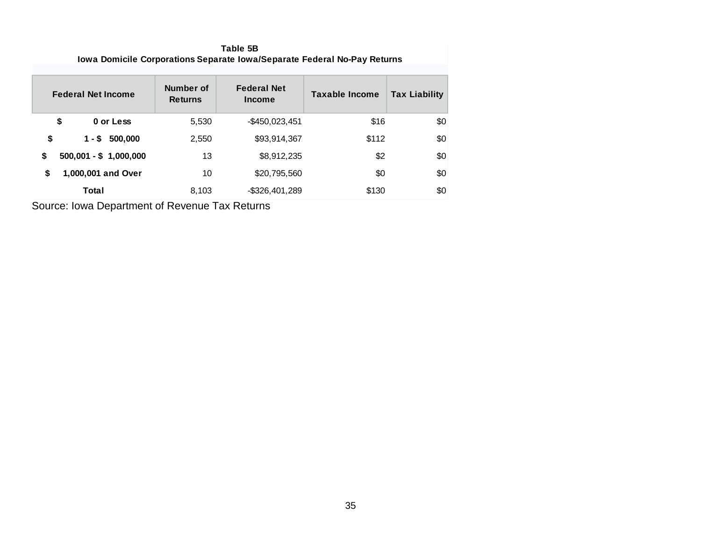**Table 5B Iowa Domicile Corporations Separate Iowa/Separate Federal No-Pay Returns**

| <b>Federal Net Income</b>     | Number of<br><b>Returns</b> | <b>Federal Net</b><br><b>Income</b> | <b>Taxable Income</b> | <b>Tax Liability</b> |
|-------------------------------|-----------------------------|-------------------------------------|-----------------------|----------------------|
| \$<br>0 or Less               | 5,530                       | $-$ \$450,023,451                   | \$16                  | \$0                  |
| \$<br>$1 - $500,000$          | 2,550                       | \$93,914,367                        | \$112                 | \$0                  |
| \$<br>$500,001 - $ 1,000,000$ | 13                          | \$8,912,235                         | \$2                   | \$0                  |
| 1,000,001 and Over<br>S       | 10                          | \$20,795,560                        | \$0                   | \$0                  |
| Total                         | 8,103                       | $-$ \$326,401,289                   | \$130                 | \$0                  |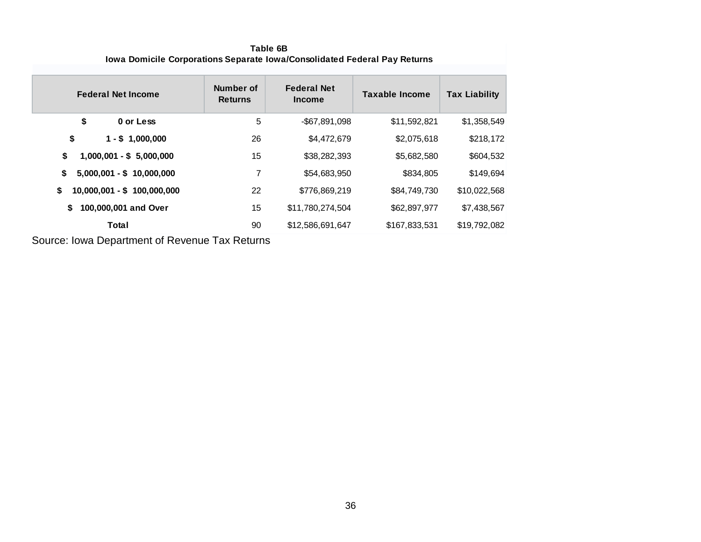| lowa Domiche Corporations Separate Towa/Consolidated Federal Pay Returns |                             |                                     |                       |                      |  |  |
|--------------------------------------------------------------------------|-----------------------------|-------------------------------------|-----------------------|----------------------|--|--|
| <b>Federal Net Income</b>                                                | Number of<br><b>Returns</b> | <b>Federal Net</b><br><b>Income</b> | <b>Taxable Income</b> | <b>Tax Liability</b> |  |  |
| \$<br>0 or Less                                                          | 5                           | -\$67,891,098                       | \$11,592,821          | \$1,358,549          |  |  |
| \$<br>$1 - $1,000,000$                                                   | 26                          | \$4,472,679                         | \$2,075,618           | \$218,172            |  |  |
| \$<br>$1,000,001 - $5,000,000$                                           | 15                          | \$38,282,393                        | \$5,682,580           | \$604,532            |  |  |
| $5,000,001 - $ 10,000,000$<br>\$                                         | 7                           | \$54,683,950                        | \$834,805             | \$149,694            |  |  |
| 10,000,001 - \$ 100,000,000<br>\$                                        | 22                          | \$776,869,219                       | \$84,749,730          | \$10,022,568         |  |  |
| 100,000,001 and Over<br>\$                                               | 15                          | \$11,780,274,504                    | \$62,897,977          | \$7,438,567          |  |  |
| Total                                                                    | 90                          | \$12,586,691,647                    | \$167,833,531         | \$19,792,082         |  |  |

**Table 6B Iowa Domicile Corporations Separate Iowa/Consolidated Federal Pay Returns**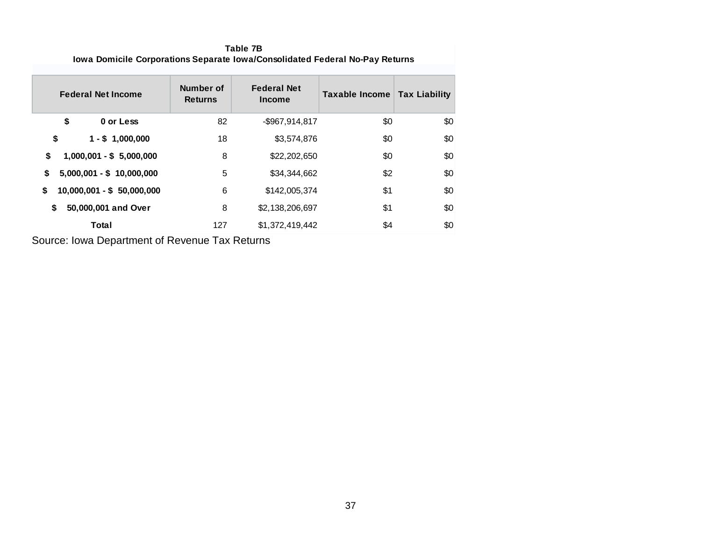**Table 7B Iowa Domicile Corporations Separate Iowa/Consolidated Federal No-Pay Returns**

| <b>Federal Net Income</b>        | Number of<br><b>Returns</b> | <b>Federal Net</b><br><b>Income</b> | Taxable Income | <b>Tax Liability</b> |
|----------------------------------|-----------------------------|-------------------------------------|----------------|----------------------|
| \$<br>0 or Less                  | 82                          | -\$967,914,817                      | \$0            | \$0                  |
| \$<br>$1 - $1,000,000$           | 18                          | \$3,574,876                         | \$0            | \$0                  |
| 1,000,001 - \$ 5,000,000<br>\$   | 8                           | \$22,202,650                        | \$0            | \$0                  |
| \$<br>$5,000,001 - $ 10,000,000$ | 5                           | \$34,344,662                        | \$2            | \$0                  |
| \$<br>$10,000,001 - $50,000,000$ | 6                           | \$142,005,374                       | \$1            | \$0                  |
| 50,000,001 and Over<br>\$        | 8                           | \$2,138,206,697                     | \$1            | \$0                  |
| Total                            | 127                         | \$1,372,419,442                     | \$4            | \$0                  |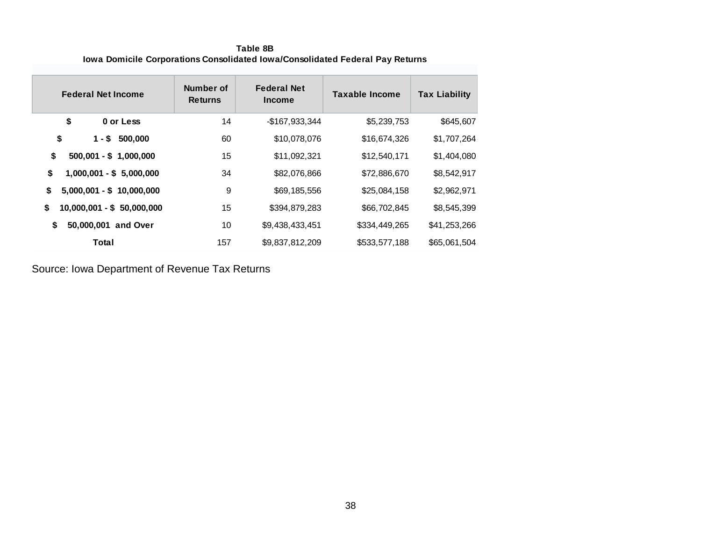**Table 8B Iowa Domicile Corporations Consolidated Iowa/Consolidated Federal Pay Returns**

| <b>Federal Net Income</b>         | Number of<br><b>Returns</b> | <b>Federal Net</b><br><b>Income</b> | <b>Taxable Income</b> | <b>Tax Liability</b> |
|-----------------------------------|-----------------------------|-------------------------------------|-----------------------|----------------------|
| \$<br>0 or Less                   | 14                          | -\$167,933,344                      | \$5,239,753           | \$645,607            |
| \$<br>$1 - $$<br>500,000          | 60                          | \$10,078,076                        | \$16,674,326          | \$1,707,264          |
| \$<br>$500,001 - $ 1,000,000$     | 15                          | \$11,092,321                        | \$12,540,171          | \$1,404,080          |
| \$<br>$1,000,001 - $5,000,000$    | 34                          | \$82,076,866                        | \$72,886,670          | \$8,542,917          |
| \$<br>$5,000,001 - $ 10,000,000$  | 9                           | \$69,185,556                        | \$25,084,158          | \$2,962,971          |
| \$<br>$10,000,001 - $ 50,000,000$ | 15                          | \$394,879,283                       | \$66,702,845          | \$8,545,399          |
| \$<br>50,000,001<br>and Over      | 10                          | \$9,438,433,451                     | \$334,449,265         | \$41,253,266         |
| Total                             | 157                         | \$9,837,812,209                     | \$533,577,188         | \$65,061,504         |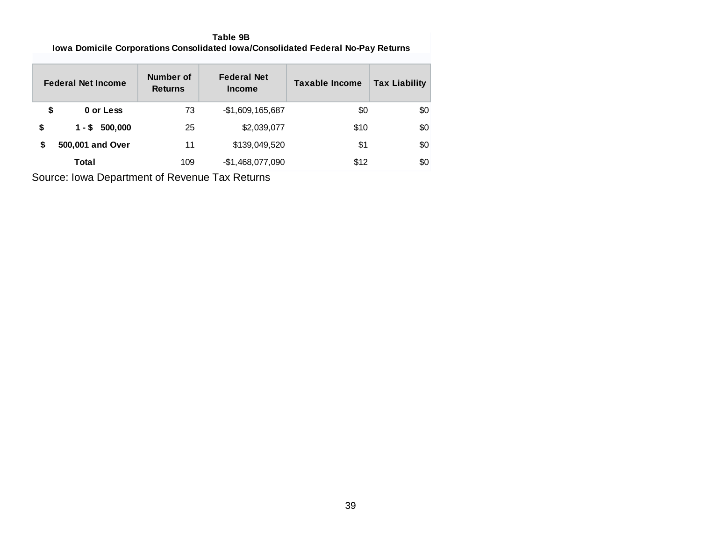**Table 9B Iowa Domicile Corporations Consolidated Iowa/Consolidated Federal No-Pay Returns**

|    | <b>Federal Net Income</b> | Number of<br><b>Returns</b> | <b>Federal Net</b><br><b>Income</b> | <b>Taxable Income</b> | <b>Tax Liability</b> |
|----|---------------------------|-----------------------------|-------------------------------------|-----------------------|----------------------|
| \$ | 0 or Less                 | 73                          | $-$1,609,165,687$                   | \$0                   | \$0                  |
| \$ | 500,000<br>1 - \$         | 25                          | \$2,039,077                         | \$10                  | \$0                  |
| S  | 500,001 and Over          | 11                          | \$139,049,520                       | \$1                   | \$0                  |
|    | Total                     | 109                         | $-$1,468,077,090$                   | \$12                  | \$0                  |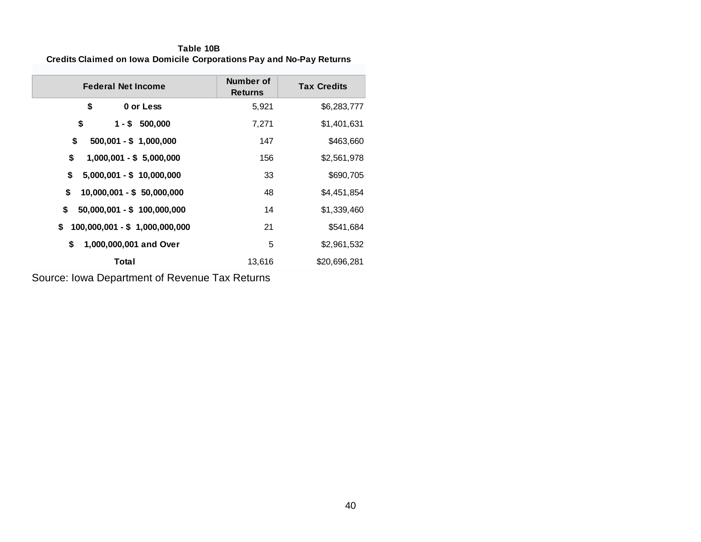**Table 10B Credits Claimed on Iowa Domicile Corporations Pay and No-Pay Returns**

| <b>Federal Net Income</b>           | Number of<br><b>Returns</b> | <b>Tax Credits</b> |
|-------------------------------------|-----------------------------|--------------------|
| \$<br>0 or Less                     | 5,921                       | \$6,283,777        |
| \$<br>$1 - $500,000$                | 7,271                       | \$1,401,631        |
| \$<br>$500,001 - $ 1,000,000$       | 147                         | \$463,660          |
| \$<br>$1,000,001 - $5,000,000$      | 156                         | \$2,561,978        |
| $5,000,001 - $ 10,000,000$<br>\$    | 33                          | \$690,705          |
| \$<br>10,000,001 - \$ 50,000,000    | 48                          | \$4,451,854        |
| \$<br>$50,000,001 - $ 100,000,000$  | 14                          | \$1,339,460        |
| 100,000,001 - \$ 1,000,000,000<br>S | 21                          | \$541,684          |
| \$<br>1,000,000,001 and Over        | 5                           | \$2,961,532        |
| Total                               | 13,616                      | \$20,696,281       |

Source: Iowa Department of Revenue Tax Returns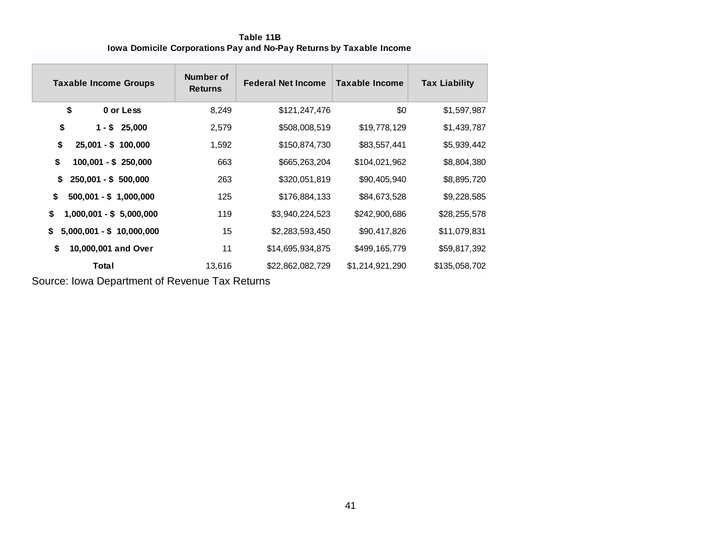| <b>Taxable Income Groups</b>     | Number of<br><b>Returns</b> | <b>Federal Net Income</b> | Taxable Income  | <b>Tax Liability</b> |
|----------------------------------|-----------------------------|---------------------------|-----------------|----------------------|
| \$<br>0 or Less                  | 8,249                       | \$121,247,476             | \$0             | \$1,597,987          |
| \$<br>$1 - $25,000$              | 2,579                       | \$508,008,519             | \$19,778,129    | \$1,439,787          |
| \$<br>$25,001 - $ 100,000$       | 1,592                       | \$150,874,730             | \$83,557,441    | \$5,939,442          |
| \$<br>$100,001 - $250,000$       | 663                         | \$665,263,204             | \$104,021,962   | \$8,804,380          |
| S<br>$250,001 - $500,000$        | 263                         | \$320,051,819             | \$90,405,940    | \$8,895,720          |
| \$<br>$500,001 - $ 1,000,000$    | 125                         | \$176,884,133             | \$84,673,528    | \$9,228,585          |
| \$<br>$1,000,001 - $5,000,000$   | 119                         | \$3,940,224,523           | \$242,900,686   | \$28,255,578         |
| \$<br>$5,000,001 - $ 10,000,000$ | 15                          | \$2,283,593,450           | \$90,417,826    | \$11,079,831         |
| \$<br>10,000,001 and Over        | 11                          | \$14,695,934,875          | \$499,165,779   | \$59,817,392         |
| Total                            | 13,616                      | \$22,862,082,729          | \$1,214,921,290 | \$135,058,702        |

**Table 11B Iowa Domicile Corporations Pay and No-Pay Returns by Taxable Income**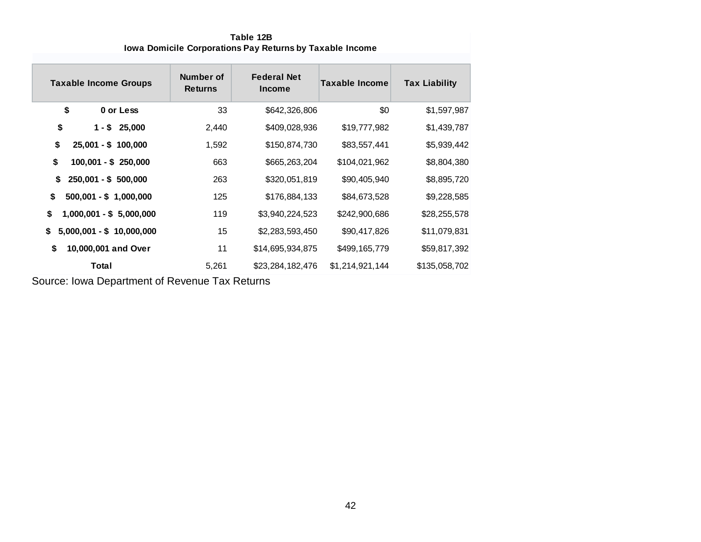| Table 12B                                                       |
|-----------------------------------------------------------------|
| <b>Iowa Domicile Corporations Pay Returns by Taxable Income</b> |

| <b>Taxable Income Groups</b>     | Number of<br><b>Returns</b> | <b>Federal Net</b><br><b>Income</b> | <b>Taxable Income</b> | <b>Tax Liability</b> |
|----------------------------------|-----------------------------|-------------------------------------|-----------------------|----------------------|
| \$<br>0 or Less                  | 33                          | \$642,326,806                       | \$0                   | \$1,597,987          |
| \$<br>25,000<br>$1 - $$          | 2,440                       | \$409,028,936                       | \$19,777,982          | \$1,439,787          |
| \$<br>$25,001 - $ 100,000$       | 1,592                       | \$150,874,730                       | \$83,557,441          | \$5,939,442          |
| \$<br>$100,001 - $250,000$       | 663                         | \$665,263,204                       | \$104,021,962         | \$8,804,380          |
| \$<br>$250,001 - $500,000$       | 263                         | \$320,051,819                       | \$90,405,940          | \$8,895,720          |
| \$<br>$500,001 - $ 1,000,000$    | 125                         | \$176,884,133                       | \$84,673,528          | \$9,228,585          |
| \$<br>$1,000,001 - $5,000,000$   | 119                         | \$3,940,224,523                     | \$242,900,686         | \$28,255,578         |
| \$<br>$5,000,001 - $ 10,000,000$ | 15                          | \$2,283,593,450                     | \$90,417,826          | \$11,079,831         |
| 10,000,001 and Over<br>\$        | 11                          | \$14,695,934,875                    | \$499,165,779         | \$59,817,392         |
| Total                            | 5,261                       | \$23,284,182,476                    | \$1,214,921,144       | \$135,058,702        |